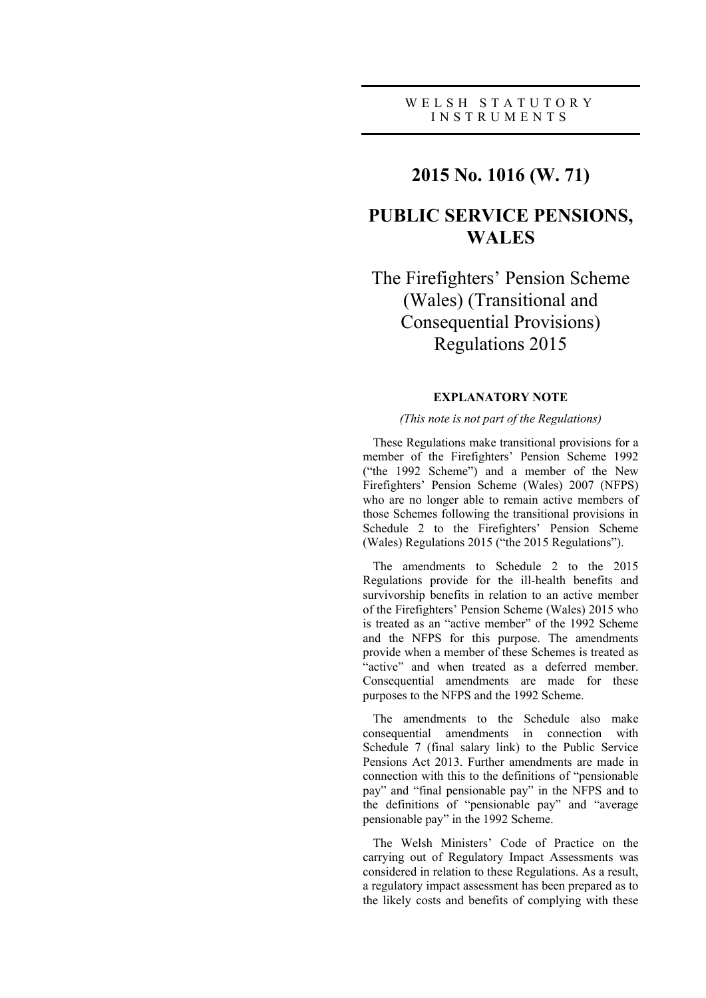### W E L S H S T A T U T O R Y I N S T R U M E N T S

# **2015 No. 1016 (W. 71)**

# **PUBLIC SERVICE PENSIONS, WALES**

# The Firefighters' Pension Scheme (Wales) (Transitional and Consequential Provisions) Regulations 2015

## **EXPLANATORY NOTE**

#### *(This note is not part of the Regulations)*

These Regulations make transitional provisions for a member of the Firefighters' Pension Scheme 1992 ("the 1992 Scheme") and a member of the New Firefighters' Pension Scheme (Wales) 2007 (NFPS) who are no longer able to remain active members of those Schemes following the transitional provisions in Schedule 2 to the Firefighters' Pension Scheme (Wales) Regulations 2015 ("the 2015 Regulations").

The amendments to Schedule 2 to the 2015 Regulations provide for the ill-health benefits and survivorship benefits in relation to an active member of the Firefighters' Pension Scheme (Wales) 2015 who is treated as an "active member" of the 1992 Scheme and the NFPS for this purpose. The amendments provide when a member of these Schemes is treated as "active" and when treated as a deferred member. Consequential amendments are made for these purposes to the NFPS and the 1992 Scheme.

The amendments to the Schedule also make consequential amendments in connection with Schedule 7 (final salary link) to the Public Service Pensions Act 2013. Further amendments are made in connection with this to the definitions of "pensionable pay" and "final pensionable pay" in the NFPS and to the definitions of "pensionable pay" and "average pensionable pay" in the 1992 Scheme.

The Welsh Ministers' Code of Practice on the carrying out of Regulatory Impact Assessments was considered in relation to these Regulations. As a result, a regulatory impact assessment has been prepared as to the likely costs and benefits of complying with these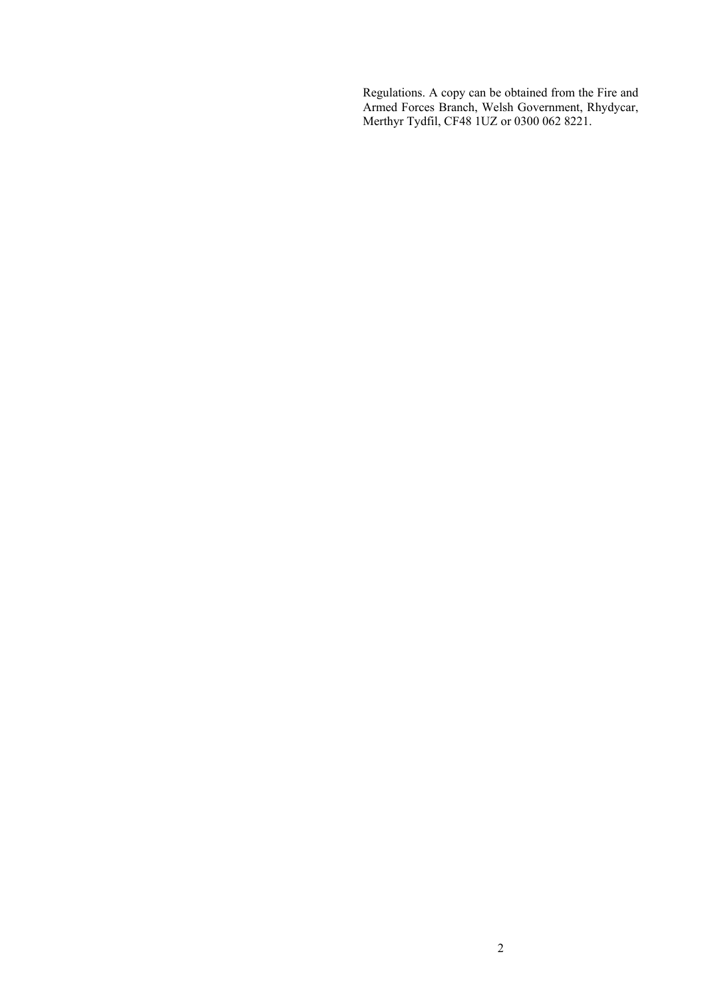Regulations. A copy can be obtained from the Fire and Armed Forces Branch, Welsh Government, Rhydycar, Merthyr Tydfil, CF48 1UZ or 0300 062 8221.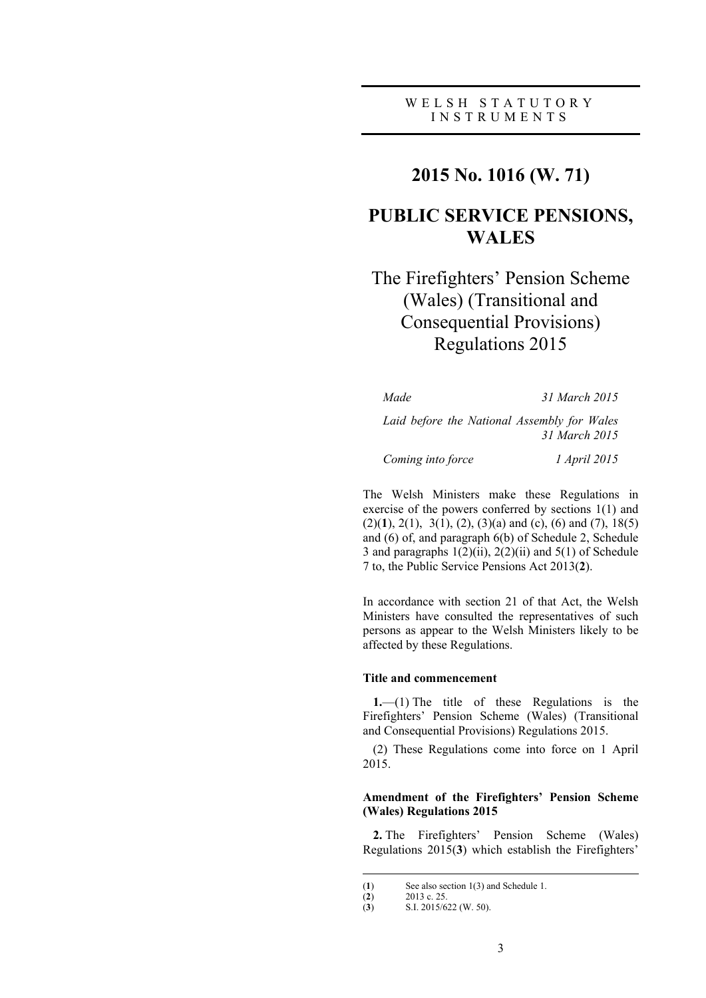# **2015 No. 1016 (W. 71)**

# **PUBLIC SERVICE PENSIONS, WALES**

# The Firefighters' Pension Scheme (Wales) (Transitional and Consequential Provisions) Regulations 2015

*Made 31 March 2015*

*Laid before the National Assembly for Wales 31 March 2015*

*Coming into force 1 April 2015*

The Welsh Ministers make these Regulations in exercise of the powers conferred by sections 1(1) and (2)(**1**), 2(1), 3(1), (2), (3)(a) and (c), (6) and (7), 18(5) and (6) of, and paragraph 6(b) of Schedule 2, Schedule 3 and paragraphs  $1(2)(ii)$ ,  $2(2)(ii)$  and  $5(1)$  of Schedule 7 to, the Public Service Pensions Act 2013(**2**).

In accordance with section 21 of that Act, the Welsh Ministers have consulted the representatives of such persons as appear to the Welsh Ministers likely to be affected by these Regulations.

#### **Title and commencement**

**1.**—(1) The title of these Regulations is the Firefighters' Pension Scheme (Wales) (Transitional and Consequential Provisions) Regulations 2015.

(2) These Regulations come into force on 1 April 2015.

## **Amendment of the Firefighters' Pension Scheme (Wales) Regulations 2015**

**2.** The Firefighters' Pension Scheme (Wales) Regulations 2015(**3**) which establish the Firefighters'

3

<sup>(</sup>**1**) See also section 1(3) and Schedule 1.

<sup>(</sup>**2**) 2013 c. 25. (**3**) S.I. 2015/622 (W. 50).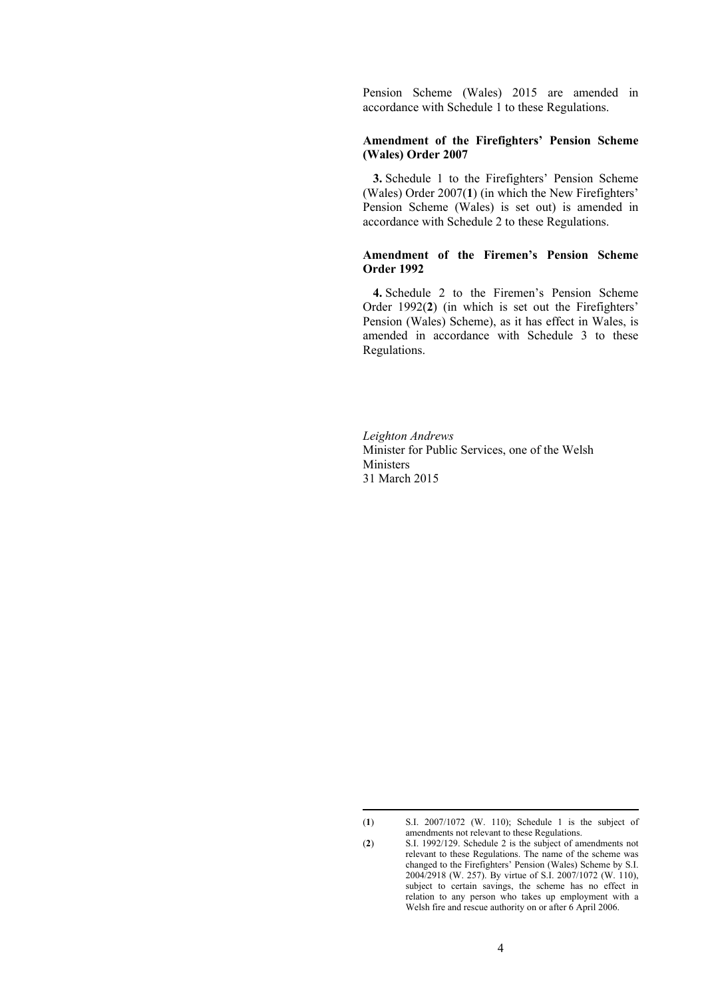Pension Scheme (Wales) 2015 are amended in accordance with Schedule 1 to these Regulations.

### **Amendment of the Firefighters' Pension Scheme (Wales) Order 2007**

**3.** Schedule 1 to the Firefighters' Pension Scheme (Wales) Order 2007(**1**) (in which the New Firefighters' Pension Scheme (Wales) is set out) is amended in accordance with Schedule 2 to these Regulations.

### **Amendment of the Firemen's Pension Scheme Order 1992**

**4.** Schedule 2 to the Firemen's Pension Scheme Order 1992(**2**) (in which is set out the Firefighters' Pension (Wales) Scheme), as it has effect in Wales, is amended in accordance with Schedule 3 to these Regulations.

*Leighton Andrews* Minister for Public Services, one of the Welsh Ministers 31 March 2015

<sup>(</sup>**1**) S.I. 2007/1072 (W. 110); Schedule 1 is the subject of amendments not relevant to these Regulations.

<sup>(</sup>**2**) S.I. 1992/129. Schedule 2 is the subject of amendments not relevant to these Regulations. The name of the scheme was changed to the Firefighters' Pension (Wales) Scheme by S.I. 2004/2918 (W. 257). By virtue of S.I. 2007/1072 (W. 110), subject to certain savings, the scheme has no effect in relation to any person who takes up employment with a Welsh fire and rescue authority on or after 6 April 2006.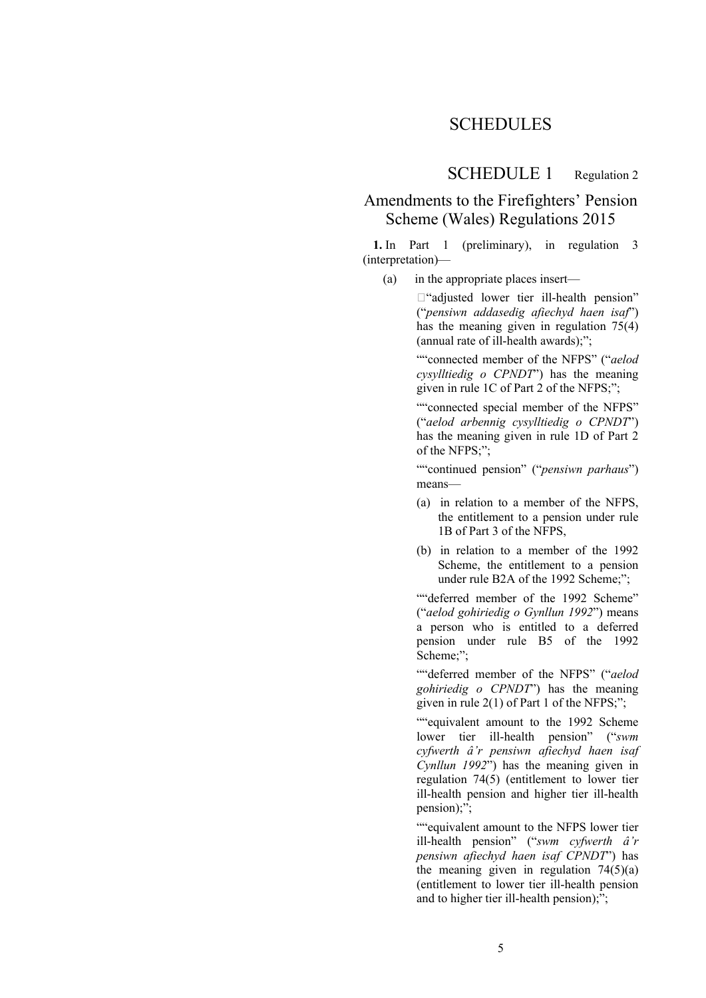# **SCHEDULES**

SCHEDULE 1 Regulation 2

# Amendments to the Firefighters' Pension Scheme (Wales) Regulations 2015

**1.** In Part 1 (preliminary), in regulation 3 (interpretation)—

(a) in the appropriate places insert—

 $\Box$ "adjusted lower tier ill-health pension" ("*pensiwn addasedig afiechyd haen isaf*") has the meaning given in regulation 75(4) (annual rate of ill-health awards);";

""connected member of the NFPS" ("*aelod cysylltiedig o CPNDT*") has the meaning given in rule 1C of Part 2 of the NFPS;";

""connected special member of the NFPS" ("*aelod arbennig cysylltiedig o CPNDT*") has the meaning given in rule 1D of Part 2 of the NFPS;";

""continued pension" ("*pensiwn parhaus*") means—

- (a) in relation to a member of the NFPS, the entitlement to a pension under rule 1B of Part 3 of the NFPS,
- (b) in relation to a member of the 1992 Scheme, the entitlement to a pension under rule B2A of the 1992 Scheme<sup>\*\*</sup>

""deferred member of the 1992 Scheme" ("*aelod gohiriedig o Gynllun 1992*") means a person who is entitled to a deferred pension under rule B5 of the 1992 Scheme;";

""deferred member of the NFPS" ("*aelod gohiriedig o CPNDT*") has the meaning given in rule 2(1) of Part 1 of the NFPS;";

""equivalent amount to the 1992 Scheme lower tier ill-health pension" ("*swm cyfwerth â'r pensiwn afiechyd haen isaf Cynllun 1992*") has the meaning given in regulation 74(5) (entitlement to lower tier ill-health pension and higher tier ill-health pension);";

""equivalent amount to the NFPS lower tier ill-health pension" ("*swm cyfwerth â'r pensiwn afiechyd haen isaf CPNDT*") has the meaning given in regulation  $74(5)(a)$ (entitlement to lower tier ill-health pension and to higher tier ill-health pension);";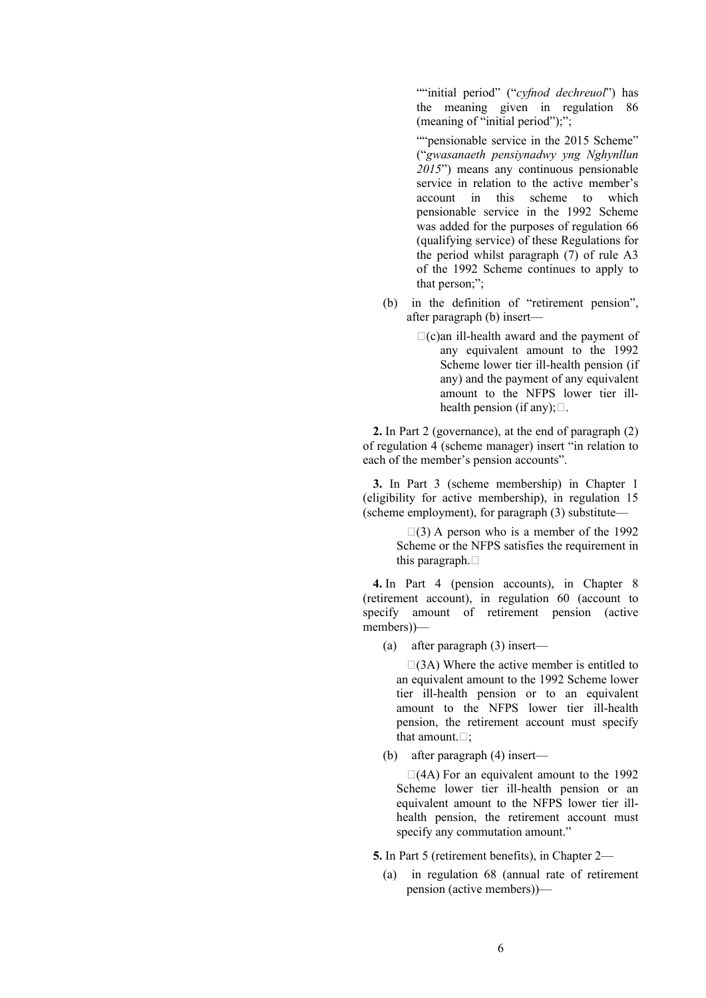""initial period" ("*cyfnod dechreuol*") has the meaning given in regulation 86 (meaning of "initial period");";

""pensionable service in the 2015 Scheme" ("*gwasanaeth pensiynadwy yng Nghynllun 2015*") means any continuous pensionable service in relation to the active member's account in this scheme to which pensionable service in the 1992 Scheme was added for the purposes of regulation 66 (qualifying service) of these Regulations for the period whilst paragraph (7) of rule A3 of the 1992 Scheme continues to apply to that person;";

- (b) in the definition of "retirement pension", after paragraph (b) insert—
	- $\Box$ (c)an ill-health award and the payment of any equivalent amount to the 1992 Scheme lower tier ill-health pension (if any) and the payment of any equivalent amount to the NFPS lower tier illhealth pension (if any);  $\Box$ .

**2.** In Part 2 (governance), at the end of paragraph (2) of regulation 4 (scheme manager) insert "in relation to each of the member's pension accounts".

**3.** In Part 3 (scheme membership) in Chapter 1 (eligibility for active membership), in regulation 15 (scheme employment), for paragraph (3) substitute—

> $\Box$ (3) A person who is a member of the 1992 Scheme or the NFPS satisfies the requirement in this paragraph.  $\Box$

**4.** In Part 4 (pension accounts), in Chapter 8 (retirement account), in regulation 60 (account to specify amount of retirement pension (active members))—

(a) after paragraph (3) insert—

 $\Box$ (3A) Where the active member is entitled to an equivalent amount to the 1992 Scheme lower tier ill-health pension or to an equivalent amount to the NFPS lower tier ill-health pension, the retirement account must specify that amount  $\Box$ 

(b) after paragraph (4) insert—

 $\Box$ (4A) For an equivalent amount to the 1992 Scheme lower tier ill-health pension or an equivalent amount to the NFPS lower tier illhealth pension, the retirement account must specify any commutation amount."

**5.** In Part 5 (retirement benefits), in Chapter 2—

(a) in regulation 68 (annual rate of retirement pension (active members))—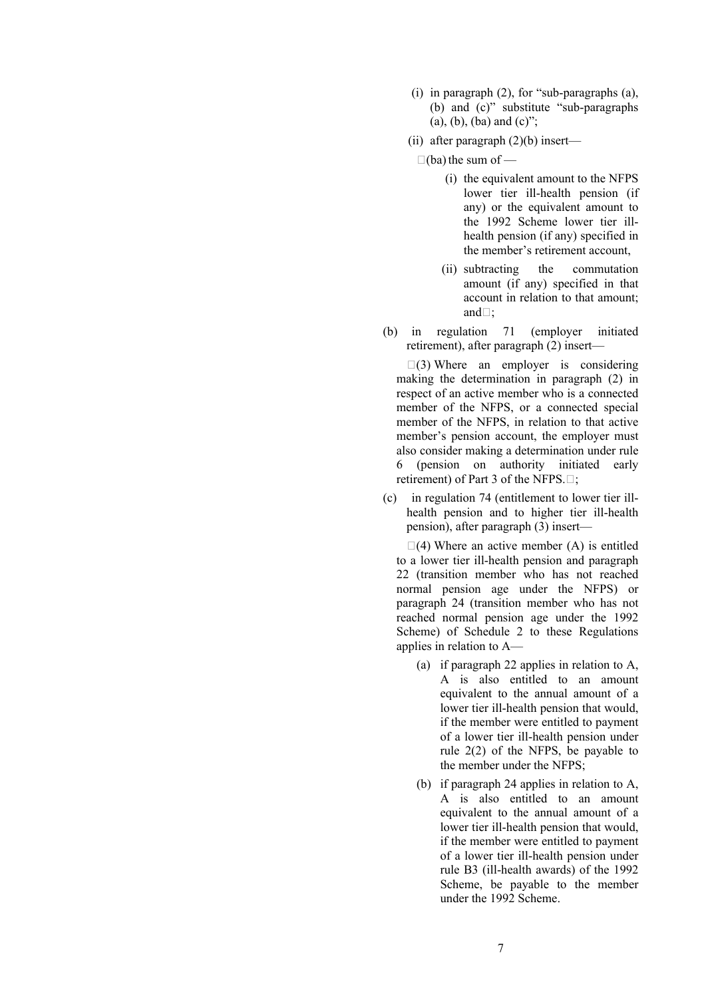- (i) in paragraph (2), for "sub-paragraphs (a), (b) and (c)" substitute "sub-paragraphs  $(a)$ ,  $(b)$ ,  $(ba)$  and  $(c)$ ";
- (ii) after paragraph (2)(b) insert—

 $\Box$ (ba) the sum of —

- (i) the equivalent amount to the NFPS lower tier ill-health pension (if any) or the equivalent amount to the 1992 Scheme lower tier illhealth pension (if any) specified in the member's retirement account,
- (ii) subtracting the commutation amount (if any) specified in that account in relation to that amount; and $\Box$ :
- (b) in regulation 71 (employer initiated retirement), after paragraph (2) insert—

 $\square$ (3) Where an employer is considering making the determination in paragraph (2) in respect of an active member who is a connected member of the NFPS, or a connected special member of the NFPS, in relation to that active member's pension account, the employer must also consider making a determination under rule 6 (pension on authority initiated early retirement) of Part 3 of the NFPS. $\Box$ ;

(c) in regulation 74 (entitlement to lower tier illhealth pension and to higher tier ill-health pension), after paragraph (3) insert—

 $\Box(4)$  Where an active member (A) is entitled to a lower tier ill-health pension and paragraph 22 (transition member who has not reached normal pension age under the NFPS) or paragraph 24 (transition member who has not reached normal pension age under the 1992 Scheme) of Schedule 2 to these Regulations applies in relation to A—

- (a) if paragraph 22 applies in relation to A, A is also entitled to an amount equivalent to the annual amount of a lower tier ill-health pension that would, if the member were entitled to payment of a lower tier ill-health pension under rule 2(2) of the NFPS, be payable to the member under the NFPS;
- (b) if paragraph 24 applies in relation to A, A is also entitled to an amount equivalent to the annual amount of a lower tier ill-health pension that would, if the member were entitled to payment of a lower tier ill-health pension under rule B3 (ill-health awards) of the 1992 Scheme, be payable to the member under the 1992 Scheme.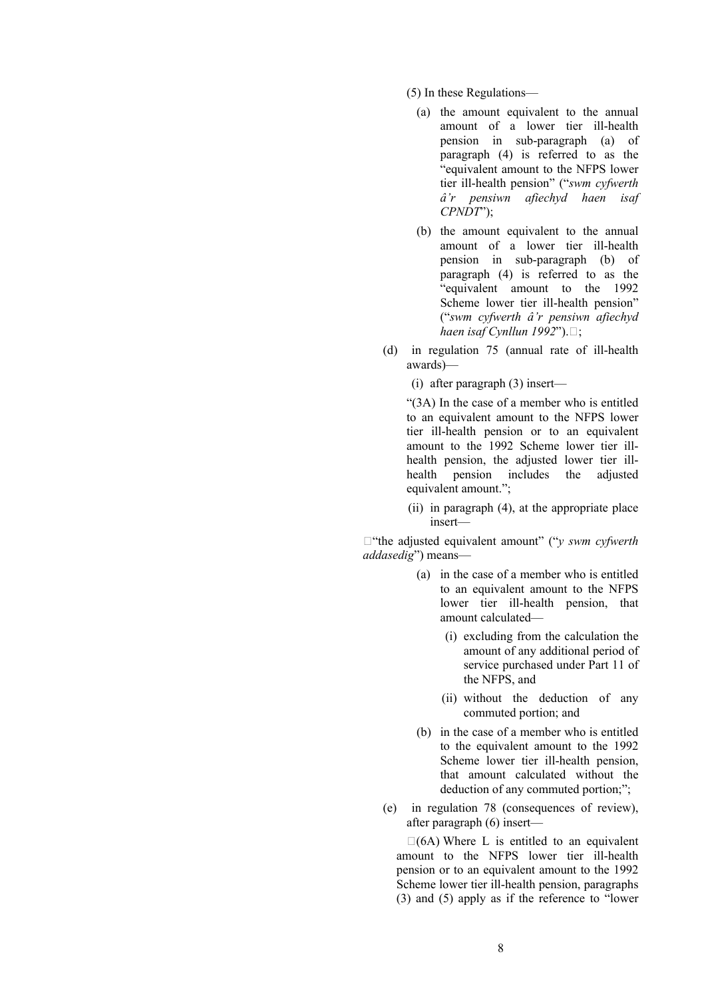(5) In these Regulations—

- (a) the amount equivalent to the annual amount of a lower tier ill-health pension in sub-paragraph (a) of paragraph (4) is referred to as the "equivalent amount to the NFPS lower tier ill-health pension" ("*swm cyfwerth â'r pensiwn afiechyd haen isaf CPNDT*");
- (b) the amount equivalent to the annual amount of a lower tier ill-health pension in sub-paragraph (b) of paragraph (4) is referred to as the "equivalent amount to the 1992 Scheme lower tier ill-health pension" ("*swm cyfwerth â'r pensiwn afiechyd haen isaf Cynllun*  $1992$ "). $\Box$ ;
- (d) in regulation 75 (annual rate of ill-health awards)—

(i) after paragraph (3) insert—

"(3A) In the case of a member who is entitled to an equivalent amount to the NFPS lower tier ill-health pension or to an equivalent amount to the 1992 Scheme lower tier illhealth pension, the adjusted lower tier illhealth pension includes the adjusted equivalent amount.";

(ii) in paragraph (4), at the appropriate place insert—

□ "the adjusted equivalent amount" ("*v swm cyfwerth addasedig*") means—

- (a) in the case of a member who is entitled to an equivalent amount to the NFPS lower tier ill-health pension, that amount calculated—
	- (i) excluding from the calculation the amount of any additional period of service purchased under Part 11 of the NFPS, and
	- (ii) without the deduction of any commuted portion; and
- (b) in the case of a member who is entitled to the equivalent amount to the 1992 Scheme lower tier ill-health pension, that amount calculated without the deduction of any commuted portion;":
- (e) in regulation 78 (consequences of review), after paragraph (6) insert—

 $\Box$ (6A) Where L is entitled to an equivalent amount to the NFPS lower tier ill-health pension or to an equivalent amount to the 1992 Scheme lower tier ill-health pension, paragraphs (3) and (5) apply as if the reference to "lower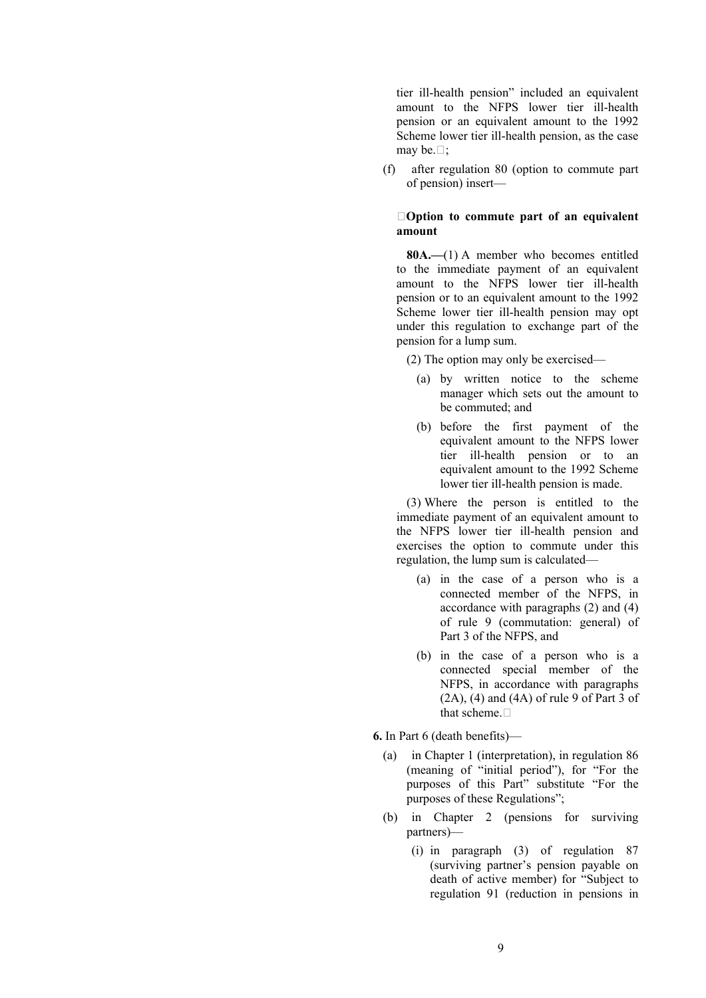tier ill-health pension" included an equivalent amount to the NFPS lower tier ill-health pension or an equivalent amount to the 1992 Scheme lower tier ill-health pension, as the case may be.  $\square$ ;

(f) after regulation 80 (option to commute part of pension) insert—

### **Option to commute part of an equivalent amount**

**80A.—**(1) A member who becomes entitled to the immediate payment of an equivalent amount to the NFPS lower tier ill-health pension or to an equivalent amount to the 1992 Scheme lower tier ill-health pension may opt under this regulation to exchange part of the pension for a lump sum.

(2) The option may only be exercised—

- (a) by written notice to the scheme manager which sets out the amount to be commuted; and
- (b) before the first payment of the equivalent amount to the NFPS lower tier ill-health pension or to an equivalent amount to the 1992 Scheme lower tier ill-health pension is made.

(3) Where the person is entitled to the immediate payment of an equivalent amount to the NFPS lower tier ill-health pension and exercises the option to commute under this regulation, the lump sum is calculated—

- (a) in the case of a person who is a connected member of the NFPS, in accordance with paragraphs (2) and (4) of rule 9 (commutation: general) of Part 3 of the NFPS, and
- (b) in the case of a person who is a connected special member of the NFPS, in accordance with paragraphs  $(2A)$ ,  $(4)$  and  $(4A)$  of rule 9 of Part 3 of that scheme.  $\Box$

**6.** In Part 6 (death benefits)—

- (a) in Chapter 1 (interpretation), in regulation 86 (meaning of "initial period"), for "For the purposes of this Part" substitute "For the purposes of these Regulations";
- (b) in Chapter 2 (pensions for surviving partners)—
	- (i) in paragraph (3) of regulation 87 (surviving partner's pension payable on death of active member) for "Subject to regulation 91 (reduction in pensions in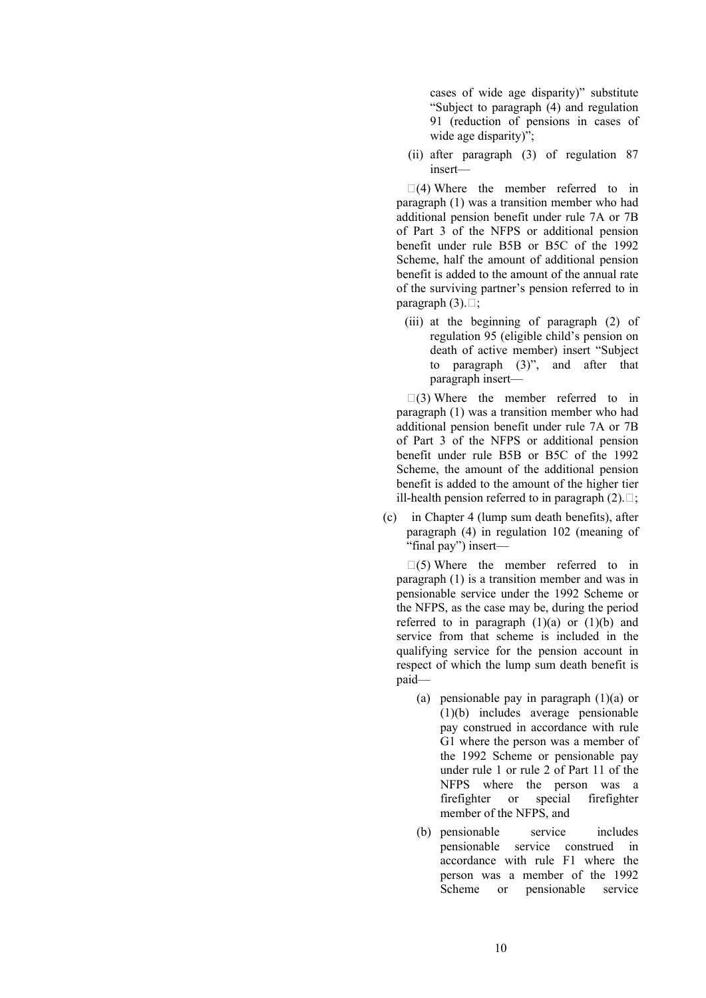cases of wide age disparity)" substitute "Subject to paragraph (4) and regulation 91 (reduction of pensions in cases of wide age disparity)";

(ii) after paragraph (3) of regulation 87 insert—

 $\Box$ (4) Where the member referred to in paragraph (1) was a transition member who had additional pension benefit under rule 7A or 7B of Part 3 of the NFPS or additional pension benefit under rule B5B or B5C of the 1992 Scheme, half the amount of additional pension benefit is added to the amount of the annual rate of the surviving partner's pension referred to in paragraph  $(3)$ . $\Box$ ;

(iii) at the beginning of paragraph (2) of regulation 95 (eligible child's pension on death of active member) insert "Subject to paragraph (3)", and after that paragraph insert—

 $\Box$ (3) Where the member referred to in paragraph (1) was a transition member who had additional pension benefit under rule 7A or 7B of Part 3 of the NFPS or additional pension benefit under rule B5B or B5C of the 1992 Scheme, the amount of the additional pension benefit is added to the amount of the higher tier ill-health pension referred to in paragraph  $(2)$ .  $\Box$ ;

(c) in Chapter 4 (lump sum death benefits), after paragraph (4) in regulation 102 (meaning of "final pay") insert—

 $\Box(5)$  Where the member referred to in paragraph (1) is a transition member and was in pensionable service under the 1992 Scheme or the NFPS, as the case may be, during the period referred to in paragraph  $(1)(a)$  or  $(1)(b)$  and service from that scheme is included in the qualifying service for the pension account in respect of which the lump sum death benefit is paid—

- (a) pensionable pay in paragraph (1)(a) or (1)(b) includes average pensionable pay construed in accordance with rule G1 where the person was a member of the 1992 Scheme or pensionable pay under rule 1 or rule 2 of Part 11 of the NFPS where the person was a firefighter or special firefighter member of the NFPS, and
- (b) pensionable service includes pensionable service construed in accordance with rule F1 where the person was a member of the 1992 Scheme or pensionable service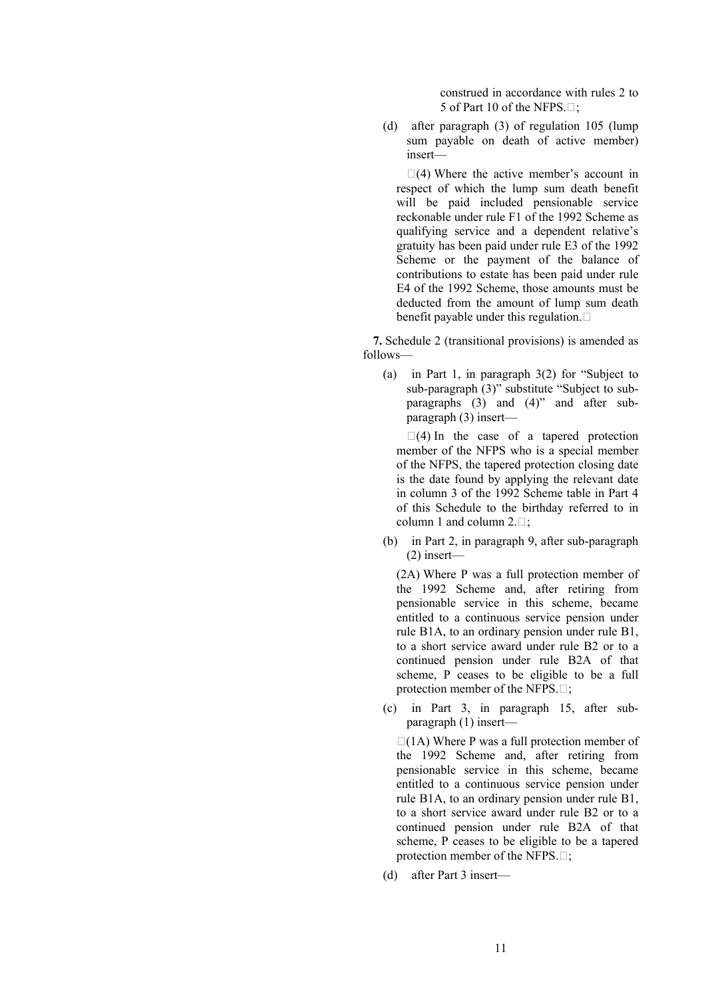construed in accordance with rules 2 to 5 of Part 10 of the NFPS. $\Box$ ;

(d) after paragraph (3) of regulation 105 (lump sum payable on death of active member) insert—

 $\Box$ (4) Where the active member's account in respect of which the lump sum death benefit will be paid included pensionable service reckonable under rule F1 of the 1992 Scheme as qualifying service and a dependent relative's gratuity has been paid under rule E3 of the 1992 Scheme or the payment of the balance of contributions to estate has been paid under rule E4 of the 1992 Scheme, those amounts must be deducted from the amount of lump sum death benefit payable under this regulation.

**7.** Schedule 2 (transitional provisions) is amended as follows—

(a) in Part 1, in paragraph 3(2) for "Subject to sub-paragraph (3)" substitute "Subject to subparagraphs (3) and (4)" and after subparagraph (3) insert—

 $\Box$ (4) In the case of a tapered protection member of the NFPS who is a special member of the NFPS, the tapered protection closing date is the date found by applying the relevant date in column 3 of the 1992 Scheme table in Part 4 of this Schedule to the birthday referred to in column 1 and column  $2.\square$ ;

(b) in Part 2, in paragraph 9, after sub-paragraph (2) insert—

(2A) Where P was a full protection member of the 1992 Scheme and, after retiring from pensionable service in this scheme, became entitled to a continuous service pension under rule B1A, to an ordinary pension under rule B1, to a short service award under rule B2 or to a continued pension under rule B2A of that scheme, P ceases to be eligible to be a full protection member of the NFPS. $\Box$ ;

(c) in Part 3, in paragraph 15, after subparagraph (1) insert—

 $\Box$ (1A) Where P was a full protection member of the 1992 Scheme and, after retiring from pensionable service in this scheme, became entitled to a continuous service pension under rule B1A, to an ordinary pension under rule B1, to a short service award under rule B2 or to a continued pension under rule B2A of that scheme, P ceases to be eligible to be a tapered protection member of the NFPS. $\Box$ ;

(d) after Part 3 insert—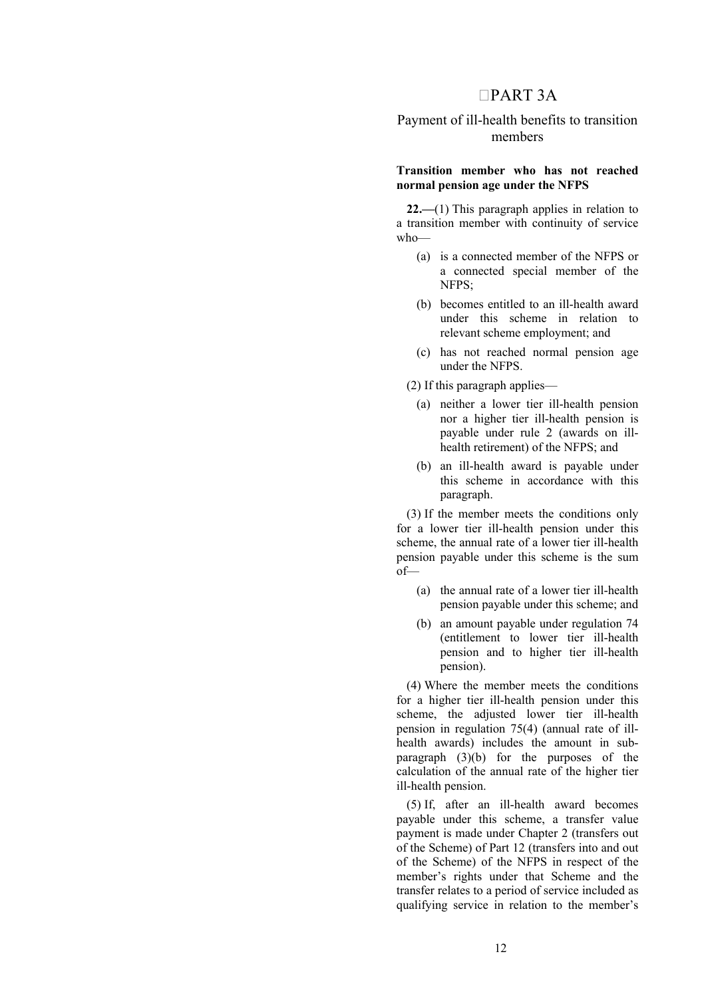# PART 3A

# Payment of ill-health benefits to transition members

### **Transition member who has not reached normal pension age under the NFPS**

**22.—**(1) This paragraph applies in relation to a transition member with continuity of service  $who$ 

- (a) is a connected member of the NFPS or a connected special member of the  $NFPS$
- (b) becomes entitled to an ill-health award under this scheme in relation to relevant scheme employment; and
- (c) has not reached normal pension age under the NFPS.

(2) If this paragraph applies—

- (a) neither a lower tier ill-health pension nor a higher tier ill-health pension is payable under rule 2 (awards on illhealth retirement) of the NFPS; and
- (b) an ill-health award is payable under this scheme in accordance with this paragraph.

(3) If the member meets the conditions only for a lower tier ill-health pension under this scheme, the annual rate of a lower tier ill-health pension payable under this scheme is the sum of—

- (a) the annual rate of a lower tier ill-health pension payable under this scheme; and
- (b) an amount payable under regulation 74 (entitlement to lower tier ill-health pension and to higher tier ill-health pension).

(4) Where the member meets the conditions for a higher tier ill-health pension under this scheme, the adjusted lower tier ill-health pension in regulation 75(4) (annual rate of illhealth awards) includes the amount in subparagraph (3)(b) for the purposes of the calculation of the annual rate of the higher tier ill-health pension.

(5) If, after an ill-health award becomes payable under this scheme, a transfer value payment is made under Chapter 2 (transfers out of the Scheme) of Part 12 (transfers into and out of the Scheme) of the NFPS in respect of the member's rights under that Scheme and the transfer relates to a period of service included as qualifying service in relation to the member's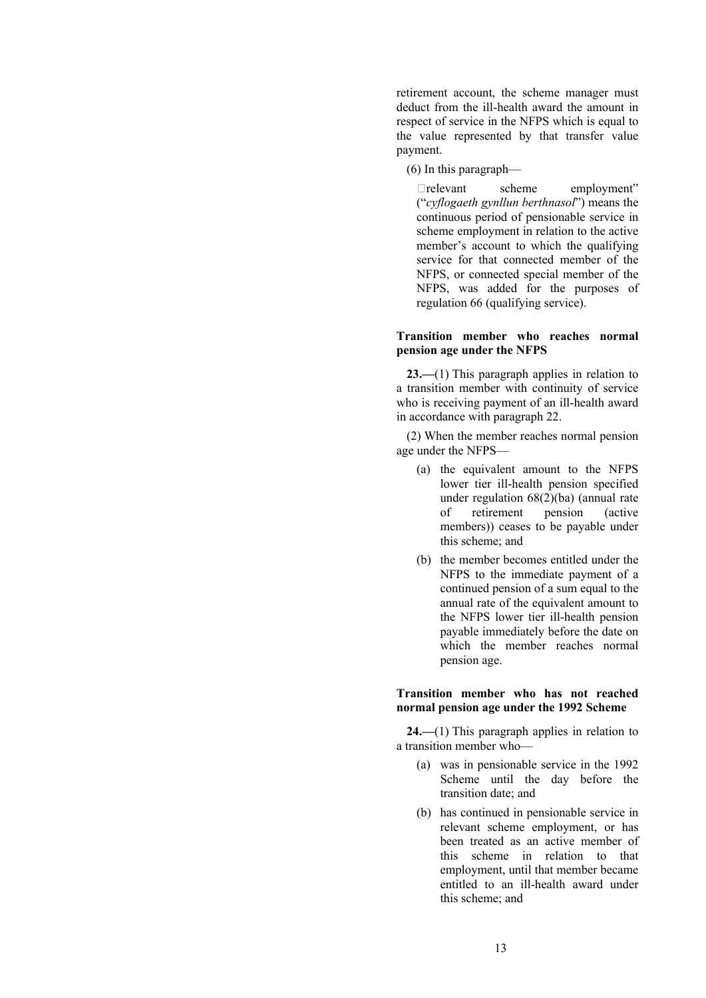retirement account, the scheme manager must deduct from the ill-health award the amount in respect of service in the NFPS which is equal to the value represented by that transfer value payment.

(6) In this paragraph—

relevant scheme employment" ("*cyflogaeth gynllun berthnasol*") means the continuous period of pensionable service in scheme employment in relation to the active member's account to which the qualifying service for that connected member of the NFPS, or connected special member of the NFPS, was added for the purposes of regulation 66 (qualifying service).

# **Transition member who reaches normal pension age under the NFPS**

23.—(1) This paragraph applies in relation to a transition member with continuity of service who is receiving payment of an ill-health award in accordance with paragraph 22.

(2) When the member reaches normal pension age under the NFPS—

- (a) the equivalent amount to the NFPS lower tier ill-health pension specified under regulation 68(2)(ba) (annual rate of retirement pension (active members)) ceases to be payable under this scheme; and
- (b) the member becomes entitled under the NFPS to the immediate payment of a continued pension of a sum equal to the annual rate of the equivalent amount to the NFPS lower tier ill-health pension payable immediately before the date on which the member reaches normal pension age.

**Transition member who has not reached normal pension age under the 1992 Scheme**

**24.—**(1) This paragraph applies in relation to a transition member who—

- (a) was in pensionable service in the 1992 Scheme until the day before the transition date; and
- (b) has continued in pensionable service in relevant scheme employment, or has been treated as an active member of this scheme in relation to that employment, until that member became entitled to an ill-health award under this scheme; and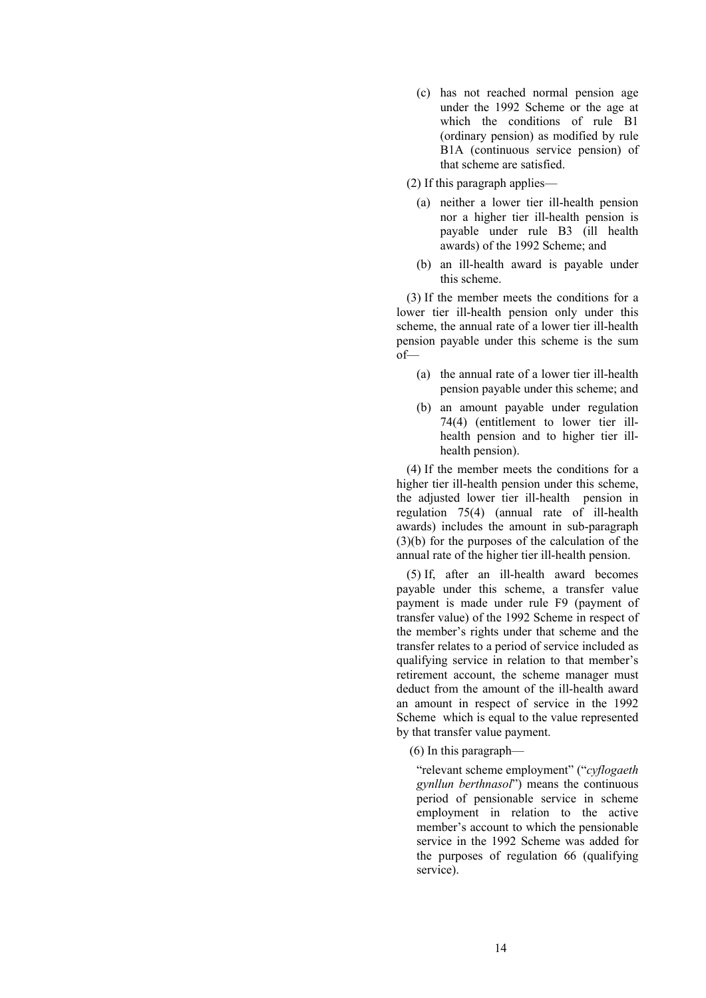- (c) has not reached normal pension age under the 1992 Scheme or the age at which the conditions of rule B1 (ordinary pension) as modified by rule B1A (continuous service pension) of that scheme are satisfied.
- (2) If this paragraph applies—
	- (a) neither a lower tier ill-health pension nor a higher tier ill-health pension is payable under rule B3 (ill health awards) of the 1992 Scheme; and
	- (b) an ill-health award is payable under this scheme.

(3) If the member meets the conditions for a lower tier ill-health pension only under this scheme, the annual rate of a lower tier ill-health pension payable under this scheme is the sum of—

- (a) the annual rate of a lower tier ill-health pension payable under this scheme; and
- (b) an amount payable under regulation 74(4) (entitlement to lower tier illhealth pension and to higher tier illhealth pension).

(4) If the member meets the conditions for a higher tier ill-health pension under this scheme, the adjusted lower tier ill-health pension in regulation 75(4) (annual rate of ill-health awards) includes the amount in sub-paragraph (3)(b) for the purposes of the calculation of the annual rate of the higher tier ill-health pension.

(5) If, after an ill-health award becomes payable under this scheme, a transfer value payment is made under rule F9 (payment of transfer value) of the 1992 Scheme in respect of the member's rights under that scheme and the transfer relates to a period of service included as qualifying service in relation to that member's retirement account, the scheme manager must deduct from the amount of the ill-health award an amount in respect of service in the 1992 Scheme which is equal to the value represented by that transfer value payment.

(6) In this paragraph—

"relevant scheme employment" ("*cyflogaeth gynllun berthnasol*") means the continuous period of pensionable service in scheme employment in relation to the active member's account to which the pensionable service in the 1992 Scheme was added for the purposes of regulation 66 (qualifying service).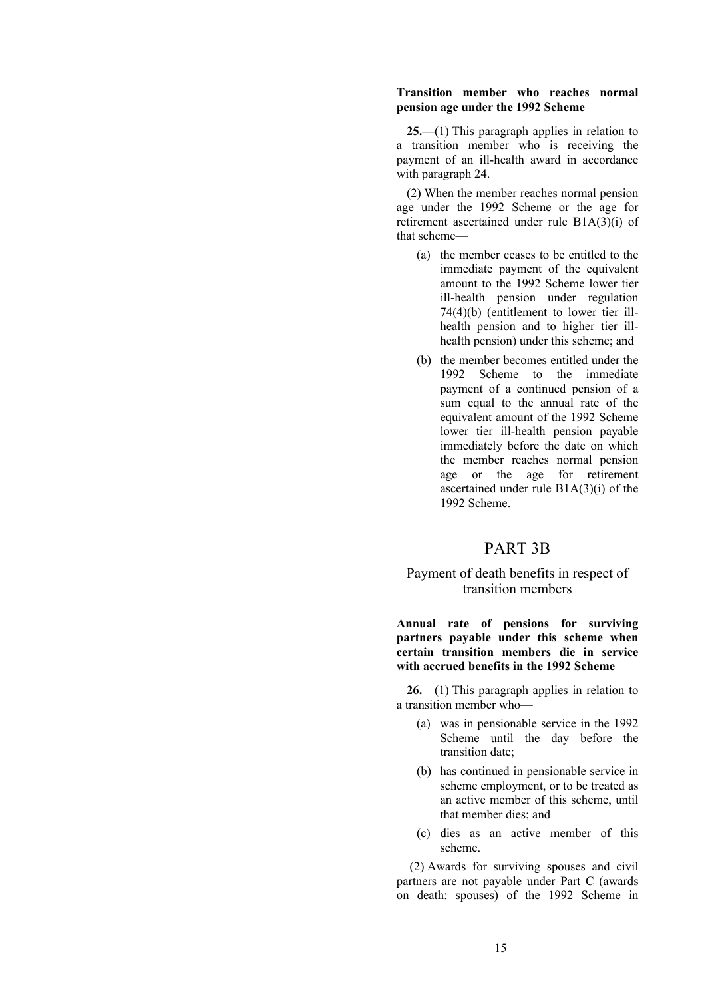#### **Transition member who reaches normal pension age under the 1992 Scheme**

**25.—**(1) This paragraph applies in relation to a transition member who is receiving the payment of an ill-health award in accordance with paragraph 24.

(2) When the member reaches normal pension age under the 1992 Scheme or the age for retirement ascertained under rule B1A(3)(i) of that scheme—

- (a) the member ceases to be entitled to the immediate payment of the equivalent amount to the 1992 Scheme lower tier ill-health pension under regulation 74(4)(b) (entitlement to lower tier illhealth pension and to higher tier illhealth pension) under this scheme; and
- (b) the member becomes entitled under the 1992 Scheme to the immediate payment of a continued pension of a sum equal to the annual rate of the equivalent amount of the 1992 Scheme lower tier ill-health pension payable immediately before the date on which the member reaches normal pension age or the age for retirement ascertained under rule B1A(3)(i) of the 1992 Scheme.

# PART 3B

# Payment of death benefits in respect of transition members

**Annual rate of pensions for surviving partners payable under this scheme when certain transition members die in service with accrued benefits in the 1992 Scheme**

**26.**—(1) This paragraph applies in relation to a transition member who—

- (a) was in pensionable service in the 1992 Scheme until the day before the transition date;
- (b) has continued in pensionable service in scheme employment, or to be treated as an active member of this scheme, until that member dies; and
- (c) dies as an active member of this scheme.

(2) Awards for surviving spouses and civil partners are not payable under Part C (awards on death: spouses) of the 1992 Scheme in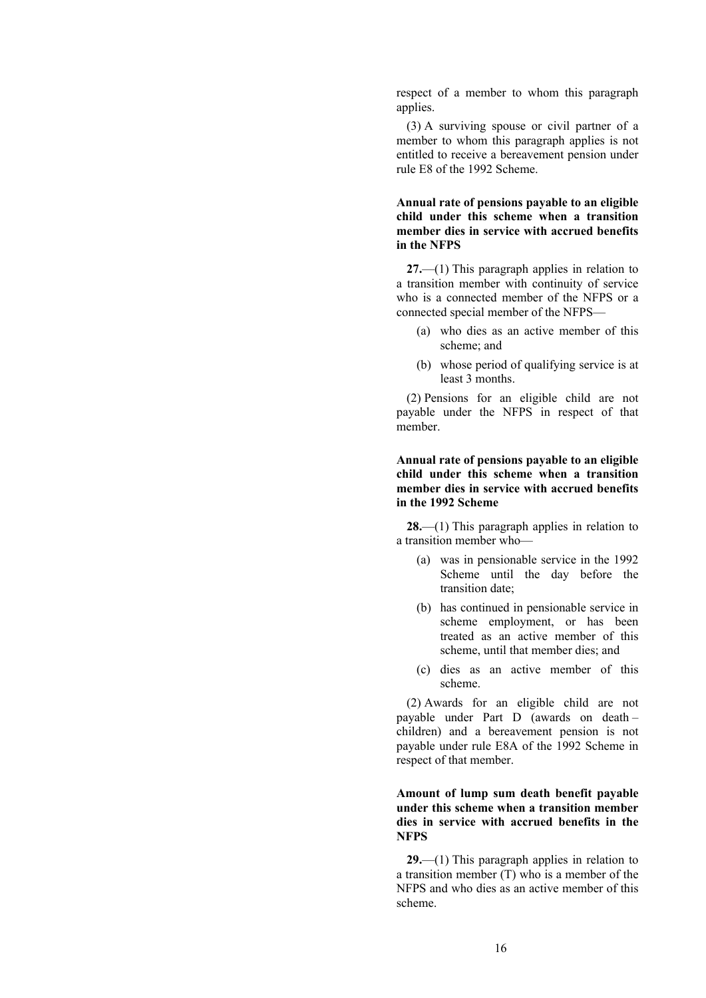respect of a member to whom this paragraph applies.

(3) A surviving spouse or civil partner of a member to whom this paragraph applies is not entitled to receive a bereavement pension under rule E8 of the 1992 Scheme.

## **Annual rate of pensions payable to an eligible child under this scheme when a transition member dies in service with accrued benefits in the NFPS**

**27.**—(1) This paragraph applies in relation to a transition member with continuity of service who is a connected member of the NFPS or a connected special member of the NFPS—

- (a) who dies as an active member of this scheme; and
- (b) whose period of qualifying service is at least 3 months.

(2) Pensions for an eligible child are not payable under the NFPS in respect of that member.

## **Annual rate of pensions payable to an eligible child under this scheme when a transition member dies in service with accrued benefits in the 1992 Scheme**

**28.**—(1) This paragraph applies in relation to a transition member who—

- (a) was in pensionable service in the 1992 Scheme until the day before the transition date;
- (b) has continued in pensionable service in scheme employment, or has been treated as an active member of this scheme, until that member dies; and
- (c) dies as an active member of this scheme.

(2) Awards for an eligible child are not payable under Part D (awards on death – children) and a bereavement pension is not payable under rule E8A of the 1992 Scheme in respect of that member.

## **Amount of lump sum death benefit payable under this scheme when a transition member dies in service with accrued benefits in the NFPS**

**29.**—(1) This paragraph applies in relation to a transition member (T) who is a member of the NFPS and who dies as an active member of this scheme.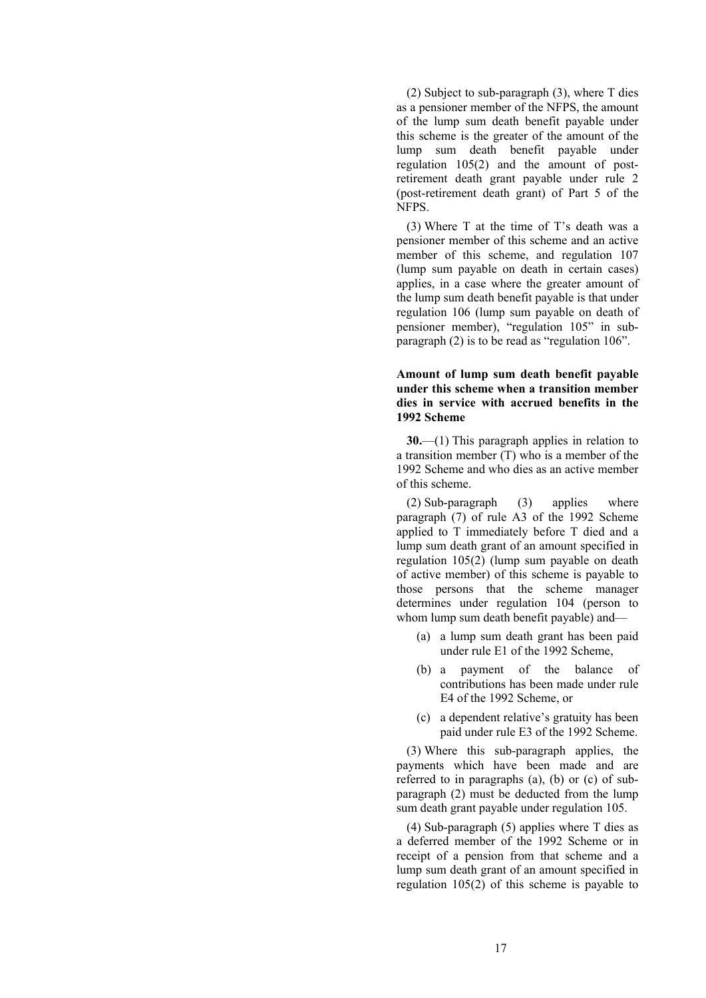(2) Subject to sub-paragraph (3), where T dies as a pensioner member of the NFPS, the amount of the lump sum death benefit payable under this scheme is the greater of the amount of the lump sum death benefit payable under regulation 105(2) and the amount of postretirement death grant payable under rule 2 (post-retirement death grant) of Part 5 of the NFPS.

(3) Where T at the time of T's death was a pensioner member of this scheme and an active member of this scheme, and regulation 107 (lump sum payable on death in certain cases) applies, in a case where the greater amount of the lump sum death benefit payable is that under regulation 106 (lump sum payable on death of pensioner member), "regulation 105" in subparagraph (2) is to be read as "regulation 106".

### **Amount of lump sum death benefit payable under this scheme when a transition member dies in service with accrued benefits in the 1992 Scheme**

**30.**—(1) This paragraph applies in relation to a transition member (T) who is a member of the 1992 Scheme and who dies as an active member of this scheme.

(2) Sub-paragraph (3) applies where paragraph (7) of rule A3 of the 1992 Scheme applied to T immediately before T died and a lump sum death grant of an amount specified in regulation 105(2) (lump sum payable on death of active member) of this scheme is payable to those persons that the scheme manager determines under regulation 104 (person to whom lump sum death benefit payable) and—

- (a) a lump sum death grant has been paid under rule E1 of the 1992 Scheme,
- (b) a payment of the balance of contributions has been made under rule E4 of the 1992 Scheme, or
- (c) a dependent relative's gratuity has been paid under rule E3 of the 1992 Scheme.

(3) Where this sub-paragraph applies, the payments which have been made and are referred to in paragraphs (a), (b) or (c) of subparagraph (2) must be deducted from the lump sum death grant payable under regulation 105.

(4) Sub-paragraph (5) applies where T dies as a deferred member of the 1992 Scheme or in receipt of a pension from that scheme and a lump sum death grant of an amount specified in regulation 105(2) of this scheme is payable to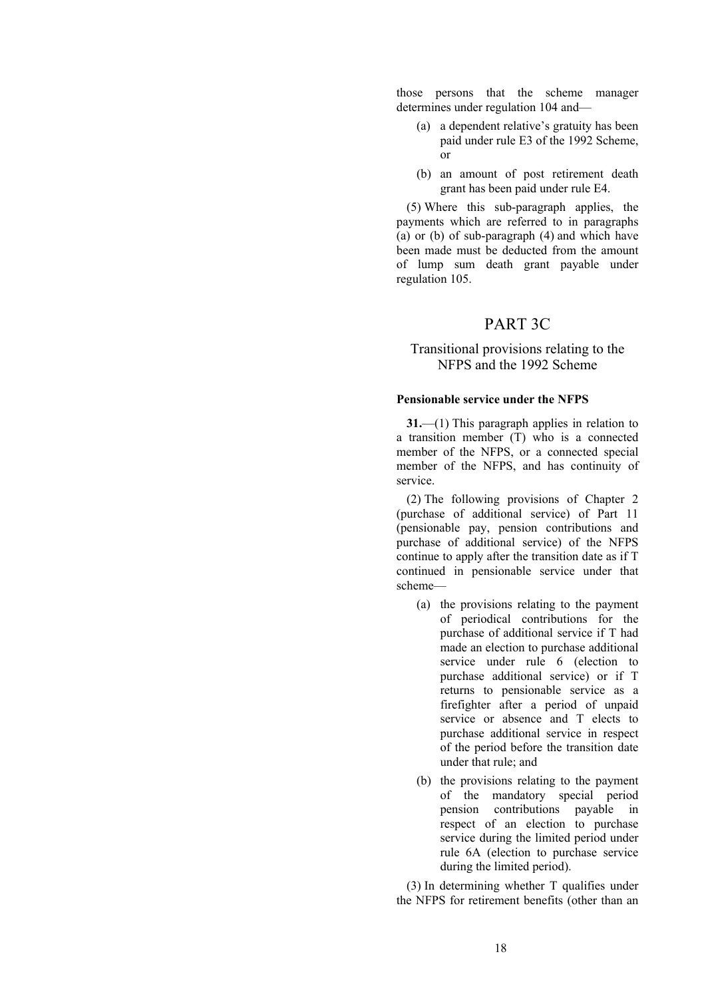those persons that the scheme manager determines under regulation 104 and—

- (a) a dependent relative's gratuity has been paid under rule E3 of the 1992 Scheme, or
- (b) an amount of post retirement death grant has been paid under rule E4.

(5) Where this sub-paragraph applies, the payments which are referred to in paragraphs (a) or (b) of sub-paragraph (4) and which have been made must be deducted from the amount of lump sum death grant payable under regulation 105.

# PART 3C

# Transitional provisions relating to the NFPS and the 1992 Scheme

#### **Pensionable service under the NFPS**

**31.**—(1) This paragraph applies in relation to a transition member (T) who is a connected member of the NFPS, or a connected special member of the NFPS, and has continuity of service.

(2) The following provisions of Chapter 2 (purchase of additional service) of Part 11 (pensionable pay, pension contributions and purchase of additional service) of the NFPS continue to apply after the transition date as if T continued in pensionable service under that scheme—

- (a) the provisions relating to the payment of periodical contributions for the purchase of additional service if T had made an election to purchase additional service under rule 6 (election to purchase additional service) or if T returns to pensionable service as a firefighter after a period of unpaid service or absence and T elects to purchase additional service in respect of the period before the transition date under that rule; and
- (b) the provisions relating to the payment of the mandatory special period pension contributions payable in respect of an election to purchase service during the limited period under rule 6A (election to purchase service during the limited period).

(3) In determining whether T qualifies under the NFPS for retirement benefits (other than an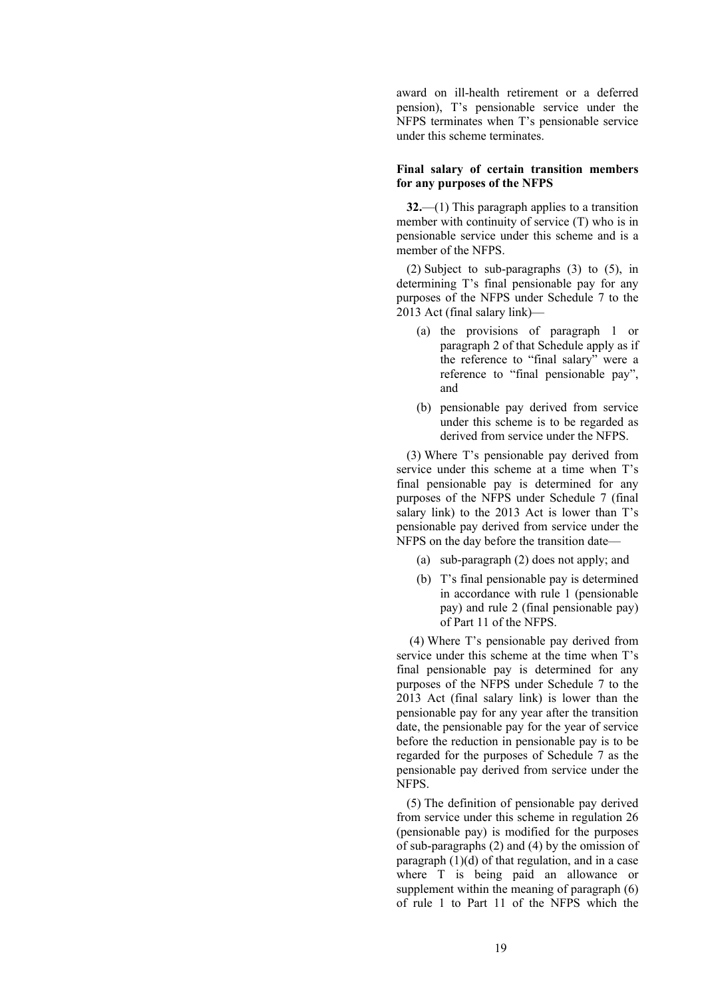award on ill-health retirement or a deferred pension), T's pensionable service under the NFPS terminates when T's pensionable service under this scheme terminates.

#### **Final salary of certain transition members for any purposes of the NFPS**

**32.**—(1) This paragraph applies to a transition member with continuity of service (T) who is in pensionable service under this scheme and is a member of the NFPS.

(2) Subject to sub-paragraphs (3) to (5), in determining T's final pensionable pay for any purposes of the NFPS under Schedule 7 to the 2013 Act (final salary link)—

- (a) the provisions of paragraph 1 or paragraph 2 of that Schedule apply as if the reference to "final salary" were a reference to "final pensionable pay", and
- (b) pensionable pay derived from service under this scheme is to be regarded as derived from service under the NFPS.

(3) Where T's pensionable pay derived from service under this scheme at a time when T's final pensionable pay is determined for any purposes of the NFPS under Schedule 7 (final salary link) to the 2013 Act is lower than T's pensionable pay derived from service under the NFPS on the day before the transition date—

- (a) sub-paragraph (2) does not apply; and
- (b) T's final pensionable pay is determined in accordance with rule 1 (pensionable pay) and rule 2 (final pensionable pay) of Part 11 of the NFPS.

(4) Where T's pensionable pay derived from service under this scheme at the time when T's final pensionable pay is determined for any purposes of the NFPS under Schedule 7 to the 2013 Act (final salary link) is lower than the pensionable pay for any year after the transition date, the pensionable pay for the year of service before the reduction in pensionable pay is to be regarded for the purposes of Schedule 7 as the pensionable pay derived from service under the NFPS.

(5) The definition of pensionable pay derived from service under this scheme in regulation 26 (pensionable pay) is modified for the purposes of sub-paragraphs (2) and (4) by the omission of paragraph (1)(d) of that regulation, and in a case where T is being paid an allowance or supplement within the meaning of paragraph (6) of rule 1 to Part 11 of the NFPS which the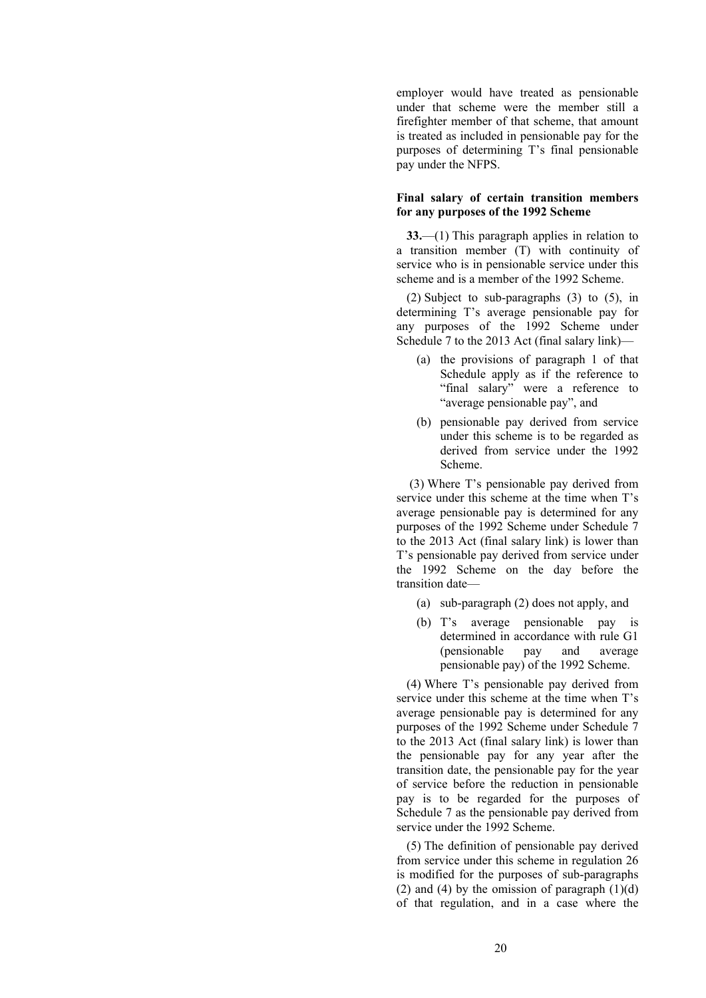employer would have treated as pensionable under that scheme were the member still a firefighter member of that scheme, that amount is treated as included in pensionable pay for the purposes of determining T's final pensionable pay under the NFPS.

#### **Final salary of certain transition members for any purposes of the 1992 Scheme**

**33.**—(1) This paragraph applies in relation to a transition member (T) with continuity of service who is in pensionable service under this scheme and is a member of the 1992 Scheme.

(2) Subject to sub-paragraphs (3) to (5), in determining T's average pensionable pay for any purposes of the 1992 Scheme under Schedule 7 to the 2013 Act (final salary link)—

- (a) the provisions of paragraph 1 of that Schedule apply as if the reference to "final salary" were a reference to "average pensionable pay", and
- (b) pensionable pay derived from service under this scheme is to be regarded as derived from service under the 1992 Scheme.

(3) Where T's pensionable pay derived from service under this scheme at the time when T's average pensionable pay is determined for any purposes of the 1992 Scheme under Schedule 7 to the 2013 Act (final salary link) is lower than T's pensionable pay derived from service under the 1992 Scheme on the day before the transition date—

- (a) sub-paragraph (2) does not apply, and
- (b) T's average pensionable pay is determined in accordance with rule G1 (pensionable pay and average pensionable pay) of the 1992 Scheme.

(4) Where T's pensionable pay derived from service under this scheme at the time when T's average pensionable pay is determined for any purposes of the 1992 Scheme under Schedule 7 to the 2013 Act (final salary link) is lower than the pensionable pay for any year after the transition date, the pensionable pay for the year of service before the reduction in pensionable pay is to be regarded for the purposes of Schedule 7 as the pensionable pay derived from service under the 1992 Scheme.

(5) The definition of pensionable pay derived from service under this scheme in regulation 26 is modified for the purposes of sub-paragraphs (2) and (4) by the omission of paragraph  $(1)(d)$ of that regulation, and in a case where the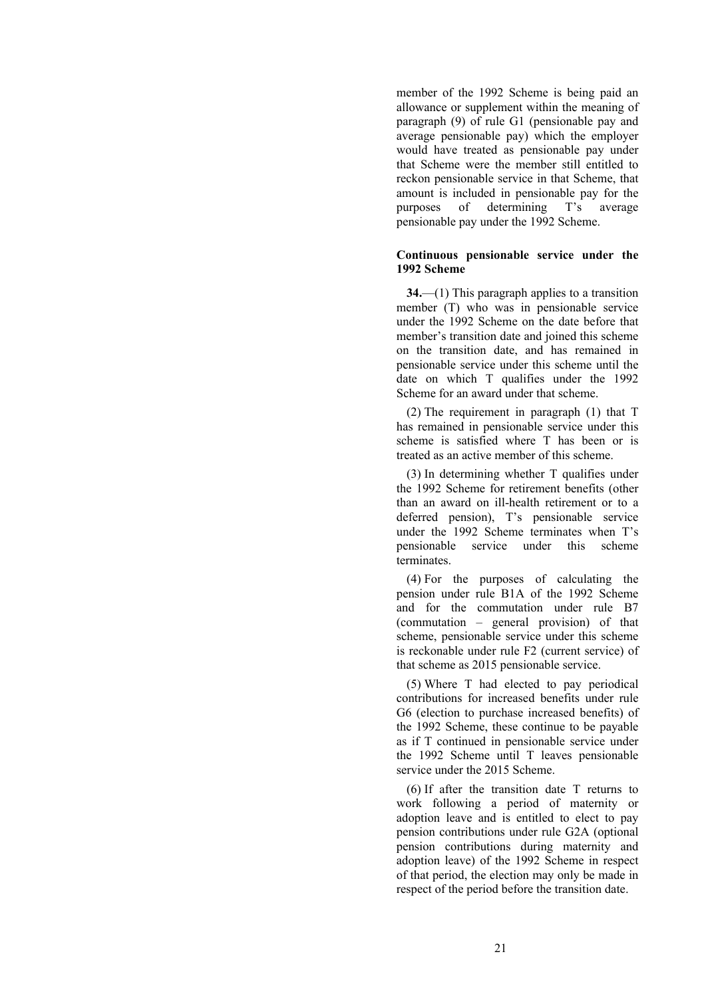member of the 1992 Scheme is being paid an allowance or supplement within the meaning of paragraph (9) of rule G1 (pensionable pay and average pensionable pay) which the employer would have treated as pensionable pay under that Scheme were the member still entitled to reckon pensionable service in that Scheme, that amount is included in pensionable pay for the purposes of determining T's average pensionable pay under the 1992 Scheme.

### **Continuous pensionable service under the 1992 Scheme**

**34.**—(1) This paragraph applies to a transition member (T) who was in pensionable service under the 1992 Scheme on the date before that member's transition date and joined this scheme on the transition date, and has remained in pensionable service under this scheme until the date on which T qualifies under the 1992 Scheme for an award under that scheme.

(2) The requirement in paragraph (1) that T has remained in pensionable service under this scheme is satisfied where T has been or is treated as an active member of this scheme.

(3) In determining whether T qualifies under the 1992 Scheme for retirement benefits (other than an award on ill-health retirement or to a deferred pension), T's pensionable service under the 1992 Scheme terminates when T's pensionable service under this scheme terminates.

(4) For the purposes of calculating the pension under rule B1A of the 1992 Scheme and for the commutation under rule B7 (commutation – general provision) of that scheme, pensionable service under this scheme is reckonable under rule F2 (current service) of that scheme as 2015 pensionable service.

(5) Where T had elected to pay periodical contributions for increased benefits under rule G6 (election to purchase increased benefits) of the 1992 Scheme, these continue to be payable as if T continued in pensionable service under the 1992 Scheme until T leaves pensionable service under the 2015 Scheme.

(6) If after the transition date T returns to work following a period of maternity or adoption leave and is entitled to elect to pay pension contributions under rule G2A (optional pension contributions during maternity and adoption leave) of the 1992 Scheme in respect of that period, the election may only be made in respect of the period before the transition date.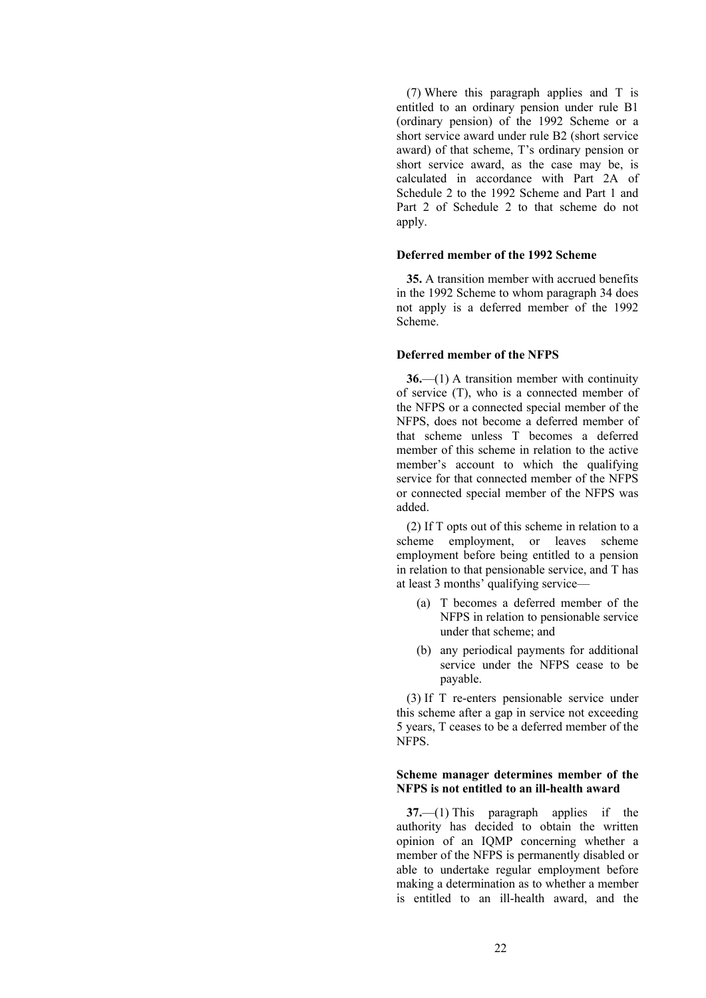(7) Where this paragraph applies and T is entitled to an ordinary pension under rule B1 (ordinary pension) of the 1992 Scheme or a short service award under rule B2 (short service award) of that scheme, T's ordinary pension or short service award, as the case may be, is calculated in accordance with Part 2A of Schedule 2 to the 1992 Scheme and Part 1 and Part 2 of Schedule 2 to that scheme do not apply.

## **Deferred member of the 1992 Scheme**

**35.** A transition member with accrued benefits in the 1992 Scheme to whom paragraph 34 does not apply is a deferred member of the 1992 Scheme.

#### **Deferred member of the NFPS**

**36.**—(1) A transition member with continuity of service (T), who is a connected member of the NFPS or a connected special member of the NFPS, does not become a deferred member of that scheme unless T becomes a deferred member of this scheme in relation to the active member's account to which the qualifying service for that connected member of the NFPS or connected special member of the NFPS was added.

(2) If T opts out of this scheme in relation to a scheme employment, or leaves scheme employment before being entitled to a pension in relation to that pensionable service, and T has at least 3 months' qualifying service—

- (a) T becomes a deferred member of the NFPS in relation to pensionable service under that scheme; and
- (b) any periodical payments for additional service under the NFPS cease to be payable.

(3) If T re-enters pensionable service under this scheme after a gap in service not exceeding 5 years, T ceases to be a deferred member of the NFPS.

### **Scheme manager determines member of the NFPS is not entitled to an ill-health award**

**37.**—(1) This paragraph applies if the authority has decided to obtain the written opinion of an IQMP concerning whether a member of the NFPS is permanently disabled or able to undertake regular employment before making a determination as to whether a member is entitled to an ill-health award, and the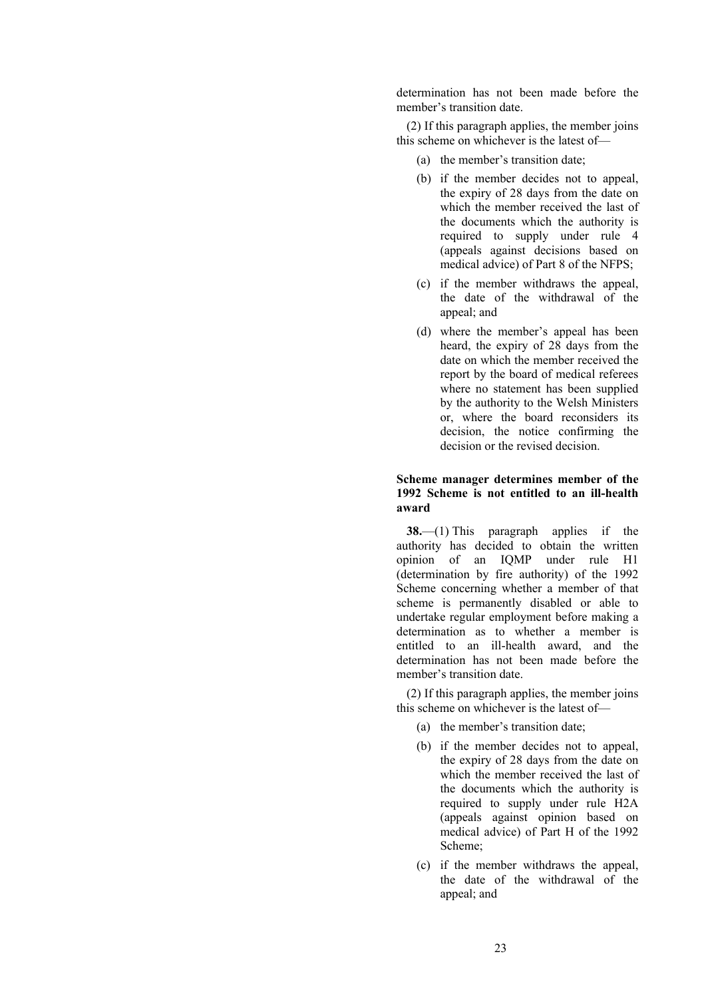determination has not been made before the member's transition date.

(2) If this paragraph applies, the member joins this scheme on whichever is the latest of—

- (a) the member's transition date;
- (b) if the member decides not to appeal, the expiry of 28 days from the date on which the member received the last of the documents which the authority is required to supply under rule 4 (appeals against decisions based on medical advice) of Part 8 of the NFPS;
- (c) if the member withdraws the appeal, the date of the withdrawal of the appeal; and
- (d) where the member's appeal has been heard, the expiry of 28 days from the date on which the member received the report by the board of medical referees where no statement has been supplied by the authority to the Welsh Ministers or, where the board reconsiders its decision, the notice confirming the decision or the revised decision.

## **Scheme manager determines member of the 1992 Scheme is not entitled to an ill-health award**

**38.**—(1) This paragraph applies if the authority has decided to obtain the written opinion of an IQMP under rule H1 (determination by fire authority) of the 1992 Scheme concerning whether a member of that scheme is permanently disabled or able to undertake regular employment before making a determination as to whether a member is entitled to an ill-health award, and the determination has not been made before the member's transition date.

(2) If this paragraph applies, the member joins this scheme on whichever is the latest of—

- (a) the member's transition date;
- (b) if the member decides not to appeal, the expiry of 28 days from the date on which the member received the last of the documents which the authority is required to supply under rule H2A (appeals against opinion based on medical advice) of Part H of the 1992 Scheme;
- (c) if the member withdraws the appeal, the date of the withdrawal of the appeal; and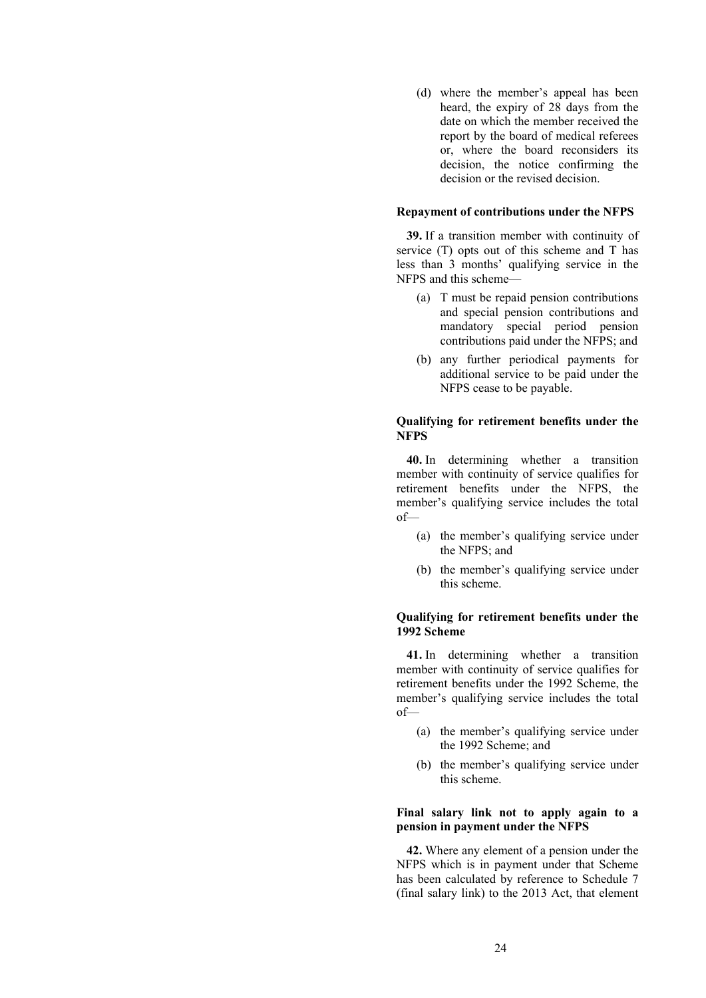(d) where the member's appeal has been heard, the expiry of 28 days from the date on which the member received the report by the board of medical referees or, where the board reconsiders its decision, the notice confirming the decision or the revised decision.

#### **Repayment of contributions under the NFPS**

**39.** If a transition member with continuity of service (T) opts out of this scheme and T has less than 3 months' qualifying service in the NFPS and this scheme—

- (a) T must be repaid pension contributions and special pension contributions and mandatory special period pension contributions paid under the NFPS; and
- (b) any further periodical payments for additional service to be paid under the NFPS cease to be payable.

#### **Qualifying for retirement benefits under the NFPS**

**40.** In determining whether a transition member with continuity of service qualifies for retirement benefits under the NFPS, the member's qualifying service includes the total  $of$ 

- (a) the member's qualifying service under the NFPS; and
- (b) the member's qualifying service under this scheme.

## **Qualifying for retirement benefits under the 1992 Scheme**

**41.** In determining whether a transition member with continuity of service qualifies for retirement benefits under the 1992 Scheme, the member's qualifying service includes the total of—

- (a) the member's qualifying service under the 1992 Scheme; and
- (b) the member's qualifying service under this scheme.

#### **Final salary link not to apply again to a pension in payment under the NFPS**

**42.** Where any element of a pension under the NFPS which is in payment under that Scheme has been calculated by reference to Schedule 7 (final salary link) to the 2013 Act, that element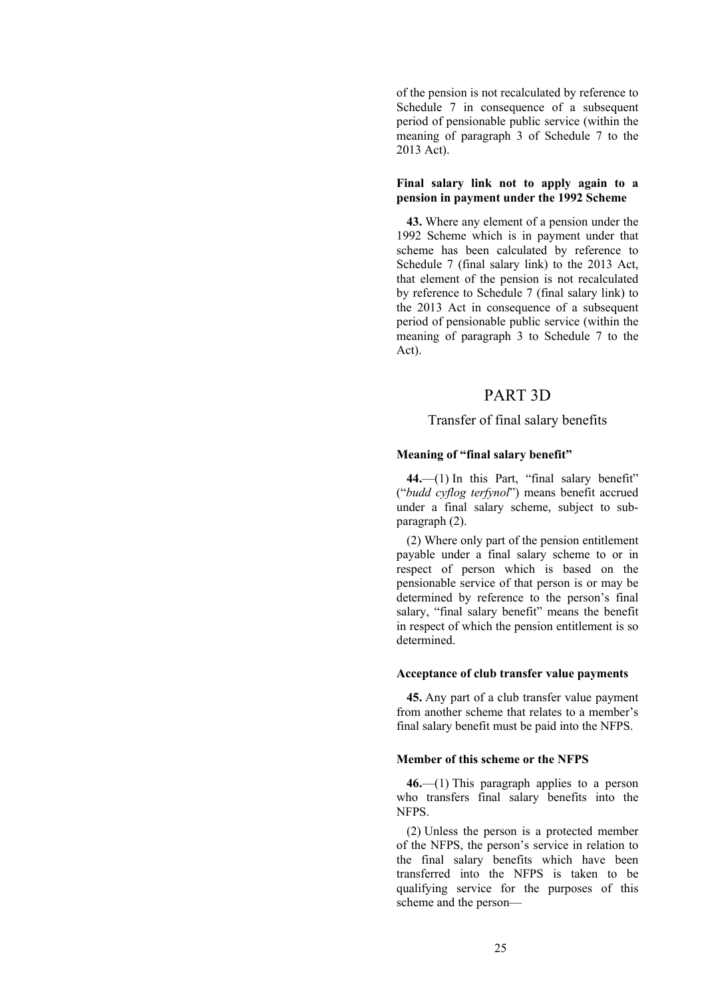of the pension is not recalculated by reference to Schedule 7 in consequence of a subsequent period of pensionable public service (within the meaning of paragraph 3 of Schedule 7 to the 2013 Act).

### **Final salary link not to apply again to a pension in payment under the 1992 Scheme**

**43.** Where any element of a pension under the 1992 Scheme which is in payment under that scheme has been calculated by reference to Schedule 7 (final salary link) to the 2013 Act, that element of the pension is not recalculated by reference to Schedule 7 (final salary link) to the 2013 Act in consequence of a subsequent period of pensionable public service (within the meaning of paragraph 3 to Schedule 7 to the Act).

# PART 3D

# Transfer of final salary benefits

## **Meaning of "final salary benefit"**

44.—(1) In this Part, "final salary benefit" ("*budd cyflog terfynol*") means benefit accrued under a final salary scheme, subject to subparagraph (2).

(2) Where only part of the pension entitlement payable under a final salary scheme to or in respect of person which is based on the pensionable service of that person is or may be determined by reference to the person's final salary, "final salary benefit" means the benefit in respect of which the pension entitlement is so determined.

#### **Acceptance of club transfer value payments**

**45.** Any part of a club transfer value payment from another scheme that relates to a member's final salary benefit must be paid into the NFPS.

## **Member of this scheme or the NFPS**

**46.**—(1) This paragraph applies to a person who transfers final salary benefits into the NFPS.

(2) Unless the person is a protected member of the NFPS, the person's service in relation to the final salary benefits which have been transferred into the NFPS is taken to be qualifying service for the purposes of this scheme and the person—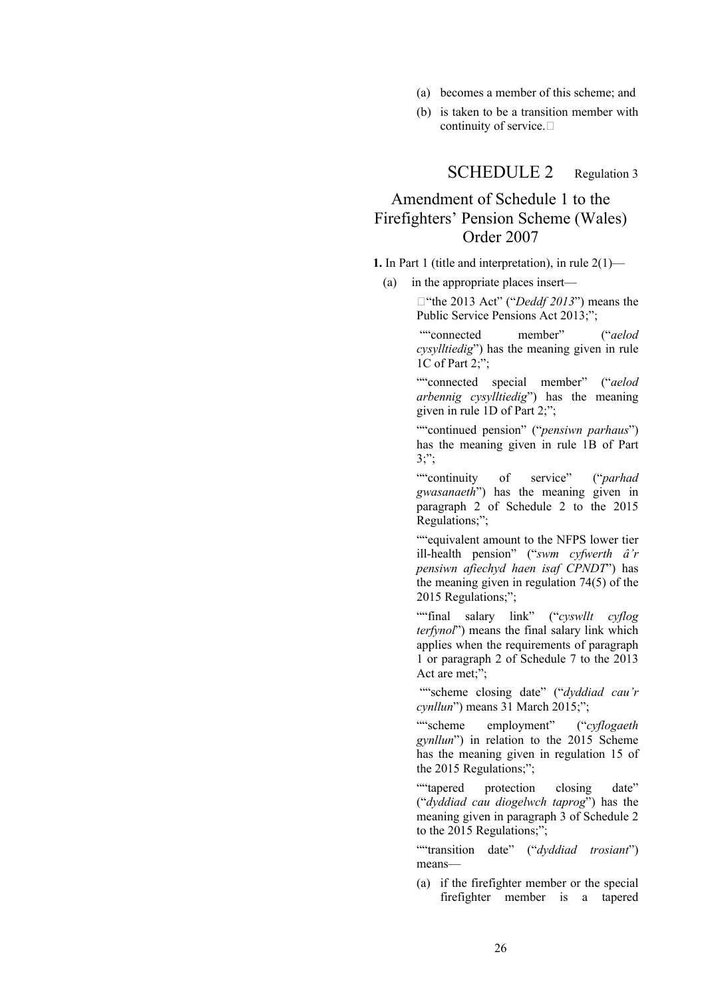- (a) becomes a member of this scheme; and
- (b) is taken to be a transition member with continuity of service.

SCHEDULE 2 Regulation 3

# Amendment of Schedule 1 to the Firefighters' Pension Scheme (Wales) Order 2007

**1.** In Part 1 (title and interpretation), in rule 2(1)—

(a) in the appropriate places insert—

□ "the 2013 Act" ("*Deddf 2013*") means the Public Service Pensions Act 2013;";

""connected member" ("*aelod cysylltiedig*") has the meaning given in rule 1C of Part 2:":

""connected special member" ("*aelod arbennig cysylltiedig*") has the meaning given in rule 1D of Part 2;";

""continued pension" ("*pensiwn parhaus*") has the meaning given in rule 1B of Part 3;";

""continuity of service" ("*parhad gwasanaeth*") has the meaning given in paragraph 2 of Schedule 2 to the 2015 Regulations;";

""equivalent amount to the NFPS lower tier ill-health pension" ("*swm cyfwerth â'r pensiwn afiechyd haen isaf CPNDT*") has the meaning given in regulation 74(5) of the 2015 Regulations;";

""final salary link" ("*cyswllt cyflog terfynol*") means the final salary link which applies when the requirements of paragraph 1 or paragraph 2 of Schedule 7 to the 2013 Act are met;";

""scheme closing date" ("*dyddiad cau'r cynllun*") means 31 March 2015;";

""scheme employment" ("*cyflogaeth gynllun*") in relation to the 2015 Scheme has the meaning given in regulation 15 of the 2015 Regulations;";

""tapered protection closing date" ("*dyddiad cau diogelwch taprog*") has the meaning given in paragraph 3 of Schedule 2 to the 2015 Regulations;";

""transition date" ("*dyddiad trosiant*") means—

(a) if the firefighter member or the special firefighter member is a tapered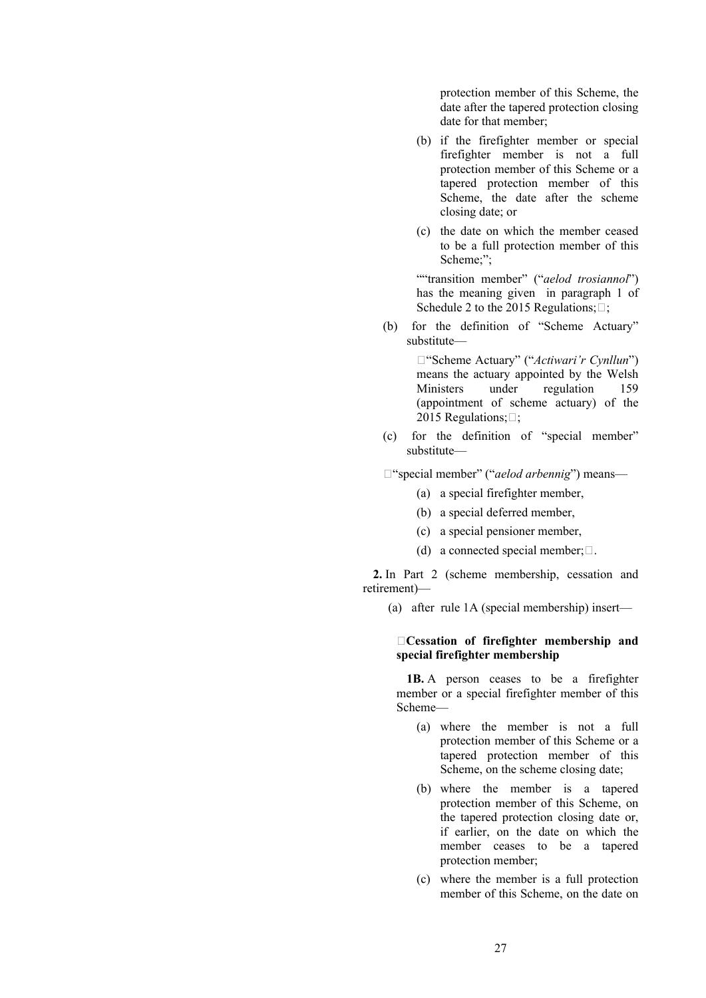protection member of this Scheme, the date after the tapered protection closing date for that member;

- (b) if the firefighter member or special firefighter member is not a full protection member of this Scheme or a tapered protection member of this Scheme, the date after the scheme closing date; or
- (c) the date on which the member ceased to be a full protection member of this Scheme;";

""transition member" ("*aelod trosiannol*") has the meaning given in paragraph 1 of Schedule 2 to the 2015 Regulations; $\Box$ ;

(b) for the definition of "Scheme Actuary" substitute—

> "Scheme Actuary" ("*Actiwari'r Cynllun*") means the actuary appointed by the Welsh Ministers under regulation 159 (appointment of scheme actuary) of the 2015 Regulations; $\Box$ ;

(c) for the definition of "special member" substitute—

"special member" ("*aelod arbennig*") means—

- (a) a special firefighter member,
- (b) a special deferred member,
- (c) a special pensioner member,
- (d) a connected special member;  $\square$ .

**2.** In Part 2 (scheme membership, cessation and retirement)—

(a) after rule 1A (special membership) insert—

### **Cessation of firefighter membership and special firefighter membership**

**1B.** A person ceases to be a firefighter member or a special firefighter member of this Scheme—

- (a) where the member is not a full protection member of this Scheme or a tapered protection member of this Scheme, on the scheme closing date;
- (b) where the member is a tapered protection member of this Scheme, on the tapered protection closing date or, if earlier, on the date on which the member ceases to be a tapered protection member;
- (c) where the member is a full protection member of this Scheme, on the date on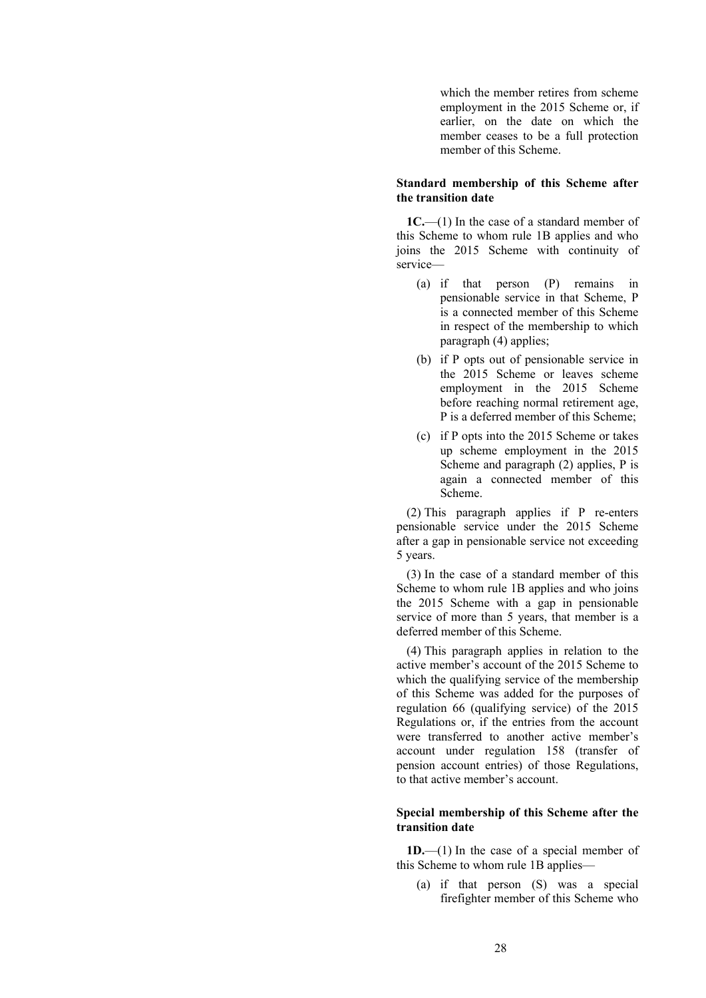which the member retires from scheme employment in the 2015 Scheme or, if earlier, on the date on which the member ceases to be a full protection member of this Scheme.

#### **Standard membership of this Scheme after the transition date**

**1C.**—(1) In the case of a standard member of this Scheme to whom rule 1B applies and who joins the 2015 Scheme with continuity of service—

- (a) if that person (P) remains in pensionable service in that Scheme, P is a connected member of this Scheme in respect of the membership to which paragraph (4) applies;
- (b) if P opts out of pensionable service in the 2015 Scheme or leaves scheme employment in the 2015 Scheme before reaching normal retirement age, P is a deferred member of this Scheme;
- (c) if P opts into the 2015 Scheme or takes up scheme employment in the 2015 Scheme and paragraph (2) applies, P is again a connected member of this Scheme.

(2) This paragraph applies if P re-enters pensionable service under the 2015 Scheme after a gap in pensionable service not exceeding 5 years.

(3) In the case of a standard member of this Scheme to whom rule 1B applies and who joins the 2015 Scheme with a gap in pensionable service of more than 5 years, that member is a deferred member of this Scheme.

(4) This paragraph applies in relation to the active member's account of the 2015 Scheme to which the qualifying service of the membership of this Scheme was added for the purposes of regulation 66 (qualifying service) of the 2015 Regulations or, if the entries from the account were transferred to another active member's account under regulation 158 (transfer of pension account entries) of those Regulations, to that active member's account.

#### **Special membership of this Scheme after the transition date**

**1D.**—(1) In the case of a special member of this Scheme to whom rule 1B applies—

(a) if that person (S) was a special firefighter member of this Scheme who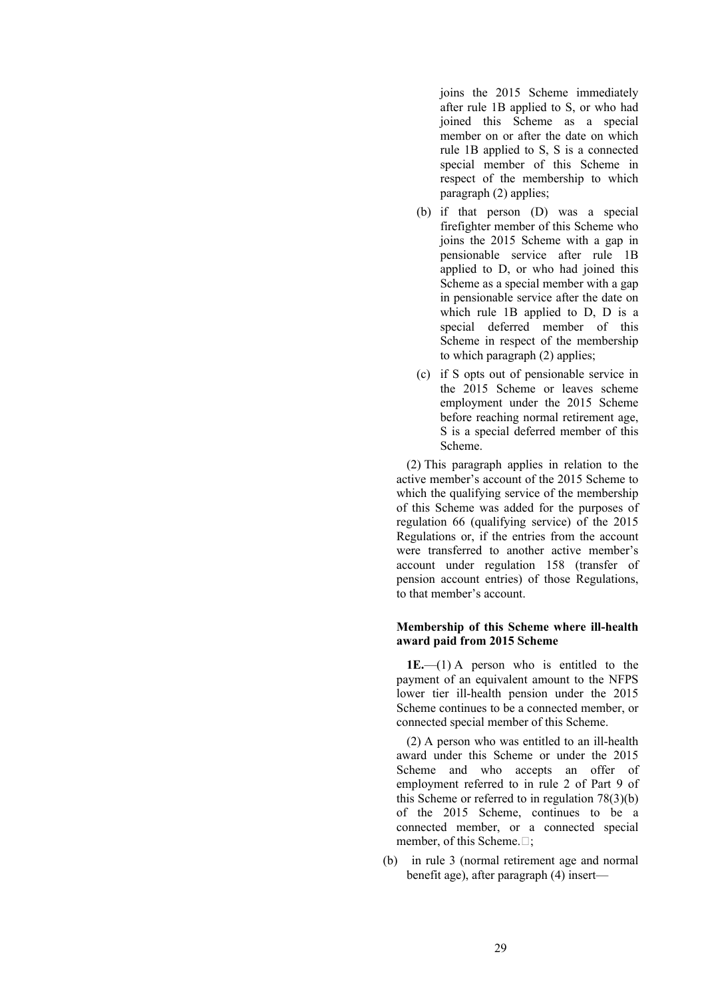joins the 2015 Scheme immediately after rule 1B applied to S, or who had joined this Scheme as a special member on or after the date on which rule 1B applied to S, S is a connected special member of this Scheme in respect of the membership to which paragraph (2) applies;

- (b) if that person (D) was a special firefighter member of this Scheme who joins the 2015 Scheme with a gap in pensionable service after rule 1B applied to D, or who had joined this Scheme as a special member with a gap in pensionable service after the date on which rule 1B applied to D, D is a special deferred member of this Scheme in respect of the membership to which paragraph (2) applies;
- (c) if S opts out of pensionable service in the 2015 Scheme or leaves scheme employment under the 2015 Scheme before reaching normal retirement age, S is a special deferred member of this Scheme.

(2) This paragraph applies in relation to the active member's account of the 2015 Scheme to which the qualifying service of the membership of this Scheme was added for the purposes of regulation 66 (qualifying service) of the 2015 Regulations or, if the entries from the account were transferred to another active member's account under regulation 158 (transfer of pension account entries) of those Regulations, to that member's account.

#### **Membership of this Scheme where ill-health award paid from 2015 Scheme**

**1E.**—(1) A person who is entitled to the payment of an equivalent amount to the NFPS lower tier ill-health pension under the 2015 Scheme continues to be a connected member, or connected special member of this Scheme.

(2) A person who was entitled to an ill-health award under this Scheme or under the 2015 Scheme and who accepts an offer of employment referred to in rule 2 of Part 9 of this Scheme or referred to in regulation 78(3)(b) of the 2015 Scheme, continues to be a connected member, or a connected special member, of this Scheme. $\Box$ :

(b) in rule 3 (normal retirement age and normal benefit age), after paragraph (4) insert—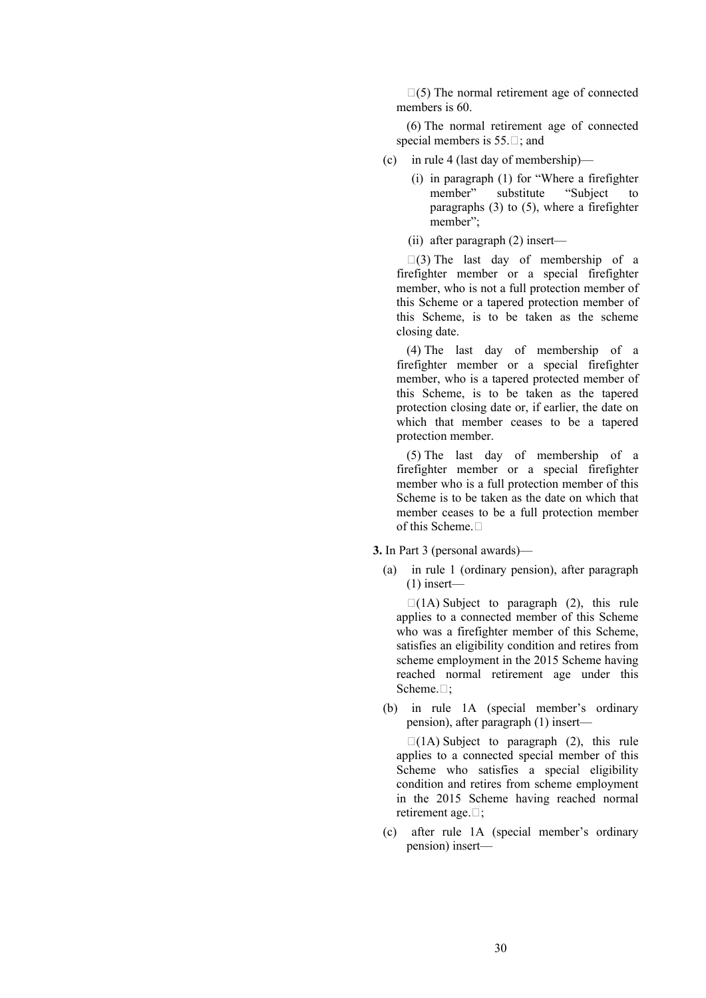$\square(5)$  The normal retirement age of connected members is 60.

(6) The normal retirement age of connected special members is  $55.\square$ ; and

- (c) in rule 4 (last day of membership)—
	- (i) in paragraph (1) for "Where a firefighter member" substitute "Subject to paragraphs (3) to (5), where a firefighter member";
	- (ii) after paragraph (2) insert—

 $\Box$ (3) The last day of membership of a firefighter member or a special firefighter member, who is not a full protection member of this Scheme or a tapered protection member of this Scheme, is to be taken as the scheme closing date.

(4) The last day of membership of a firefighter member or a special firefighter member, who is a tapered protected member of this Scheme, is to be taken as the tapered protection closing date or, if earlier, the date on which that member ceases to be a tapered protection member.

(5) The last day of membership of a firefighter member or a special firefighter member who is a full protection member of this Scheme is to be taken as the date on which that member ceases to be a full protection member of this Scheme.

**3.** In Part 3 (personal awards)—

(a) in rule 1 (ordinary pension), after paragraph (1) insert—

 $\Box$ (1A) Subject to paragraph (2), this rule applies to a connected member of this Scheme who was a firefighter member of this Scheme, satisfies an eligibility condition and retires from scheme employment in the 2015 Scheme having reached normal retirement age under this Scheme.<sup>[]</sup>;

(b) in rule 1A (special member's ordinary pension), after paragraph (1) insert—

 $\Box$ (1A) Subject to paragraph (2), this rule applies to a connected special member of this Scheme who satisfies a special eligibility condition and retires from scheme employment in the 2015 Scheme having reached normal retirement age. $\Box$ ;

(c) after rule 1A (special member's ordinary pension) insert—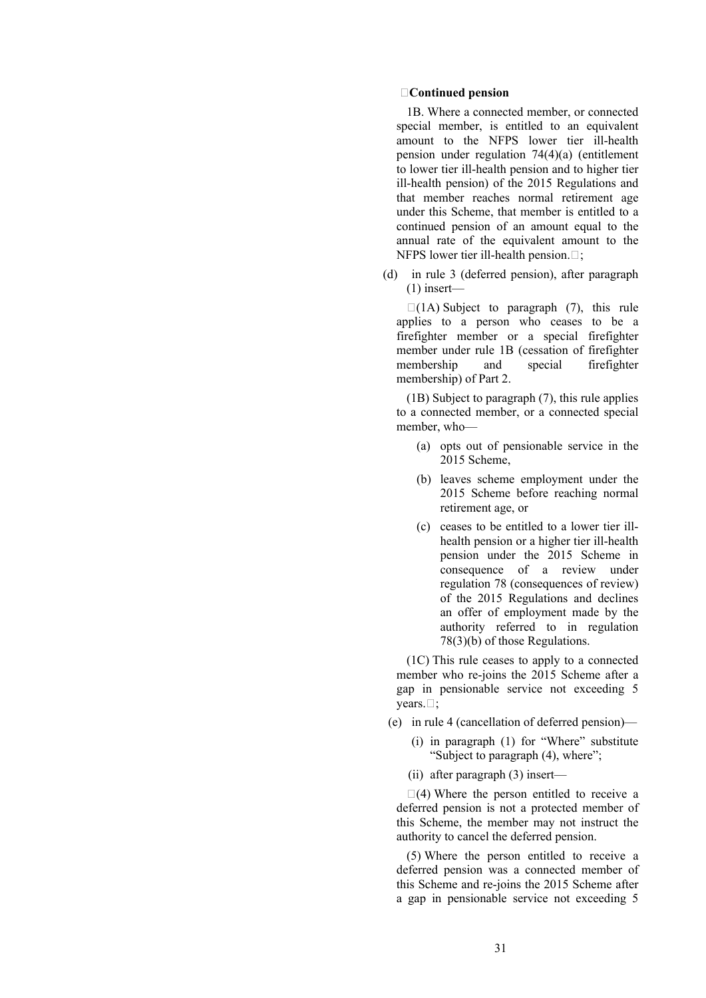#### **Continued pension**

1B. Where a connected member, or connected special member, is entitled to an equivalent amount to the NFPS lower tier ill-health pension under regulation 74(4)(a) (entitlement to lower tier ill-health pension and to higher tier ill-health pension) of the 2015 Regulations and that member reaches normal retirement age under this Scheme, that member is entitled to a continued pension of an amount equal to the annual rate of the equivalent amount to the NFPS lower tier ill-health pension.  $\Box$ ;

(d) in rule 3 (deferred pension), after paragraph  $(1)$  insert—

 $\Box$ (1A) Subject to paragraph (7), this rule applies to a person who ceases to be a firefighter member or a special firefighter member under rule 1B (cessation of firefighter membership and special firefighter membership) of Part 2.

(1B) Subject to paragraph (7), this rule applies to a connected member, or a connected special member, who—

- (a) opts out of pensionable service in the 2015 Scheme,
- (b) leaves scheme employment under the 2015 Scheme before reaching normal retirement age, or
- (c) ceases to be entitled to a lower tier illhealth pension or a higher tier ill-health pension under the 2015 Scheme in consequence of a review under regulation 78 (consequences of review) of the 2015 Regulations and declines an offer of employment made by the authority referred to in regulation 78(3)(b) of those Regulations.

(1C) This rule ceases to apply to a connected member who re-joins the 2015 Scheme after a gap in pensionable service not exceeding 5 years. $\Box$ ;

- (e) in rule 4 (cancellation of deferred pension)—
	- (i) in paragraph (1) for "Where" substitute "Subject to paragraph (4), where";
	- (ii) after paragraph (3) insert—

 $\Box(4)$  Where the person entitled to receive a deferred pension is not a protected member of this Scheme, the member may not instruct the authority to cancel the deferred pension.

(5) Where the person entitled to receive a deferred pension was a connected member of this Scheme and re-joins the 2015 Scheme after a gap in pensionable service not exceeding 5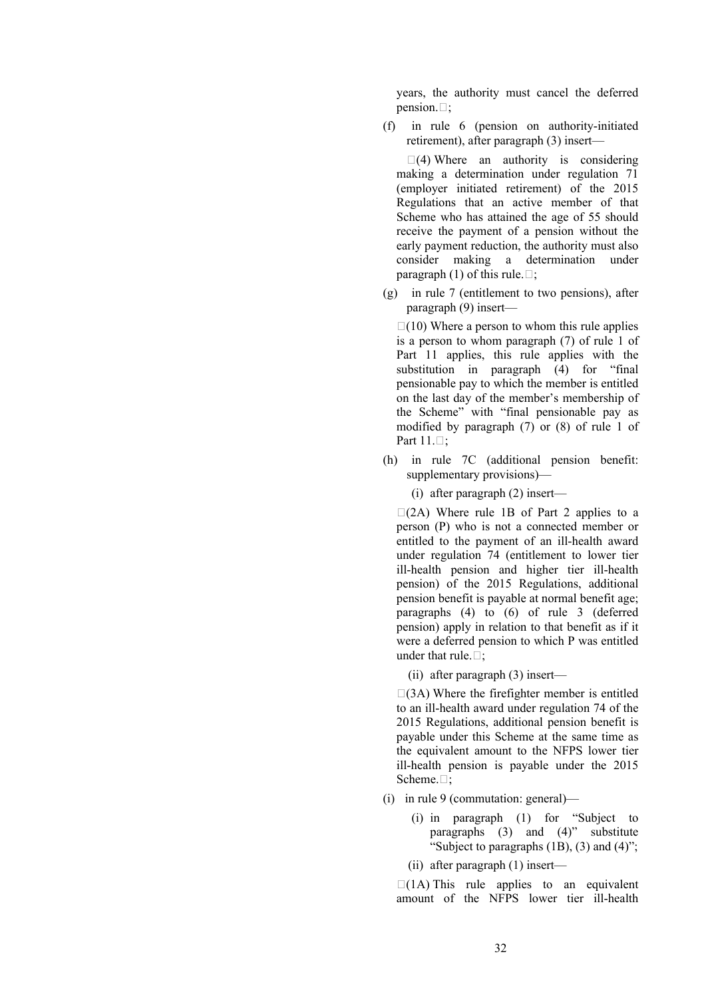years, the authority must cancel the deferred pension. $\Box$ ;

(f) in rule 6 (pension on authority-initiated retirement), after paragraph (3) insert—

 $\Box$ (4) Where an authority is considering making a determination under regulation 71 (employer initiated retirement) of the 2015 Regulations that an active member of that Scheme who has attained the age of 55 should receive the payment of a pension without the early payment reduction, the authority must also consider making a determination under paragraph (1) of this rule. $\Box$ ;

(g) in rule 7 (entitlement to two pensions), after paragraph (9) insert—

 $\Box(10)$  Where a person to whom this rule applies is a person to whom paragraph (7) of rule 1 of Part 11 applies, this rule applies with the substitution in paragraph (4) for "final pensionable pay to which the member is entitled on the last day of the member's membership of the Scheme" with "final pensionable pay as modified by paragraph (7) or (8) of rule 1 of Part  $11.$ :

(h) in rule 7C (additional pension benefit: supplementary provisions)—

(i) after paragraph (2) insert—

 $\Box$ (2A) Where rule 1B of Part 2 applies to a person (P) who is not a connected member or entitled to the payment of an ill-health award under regulation 74 (entitlement to lower tier ill-health pension and higher tier ill-health pension) of the 2015 Regulations, additional pension benefit is payable at normal benefit age; paragraphs (4) to (6) of rule 3 (deferred pension) apply in relation to that benefit as if it were a deferred pension to which P was entitled under that rule. $\Box$ :

(ii) after paragraph (3) insert—

 $\Box$ (3A) Where the firefighter member is entitled to an ill-health award under regulation 74 of the 2015 Regulations, additional pension benefit is payable under this Scheme at the same time as the equivalent amount to the NFPS lower tier ill-health pension is payable under the 2015 Scheme.<sup>[]</sup>;

- (i) in rule 9 (commutation: general)—
	- (i) in paragraph (1) for "Subject to paragraphs (3) and (4)" substitute "Subject to paragraphs  $(1B)$ ,  $(3)$  and  $(4)$ ";

(ii) after paragraph (1) insert—

 $\Box$ (1A) This rule applies to an equivalent amount of the NFPS lower tier ill-health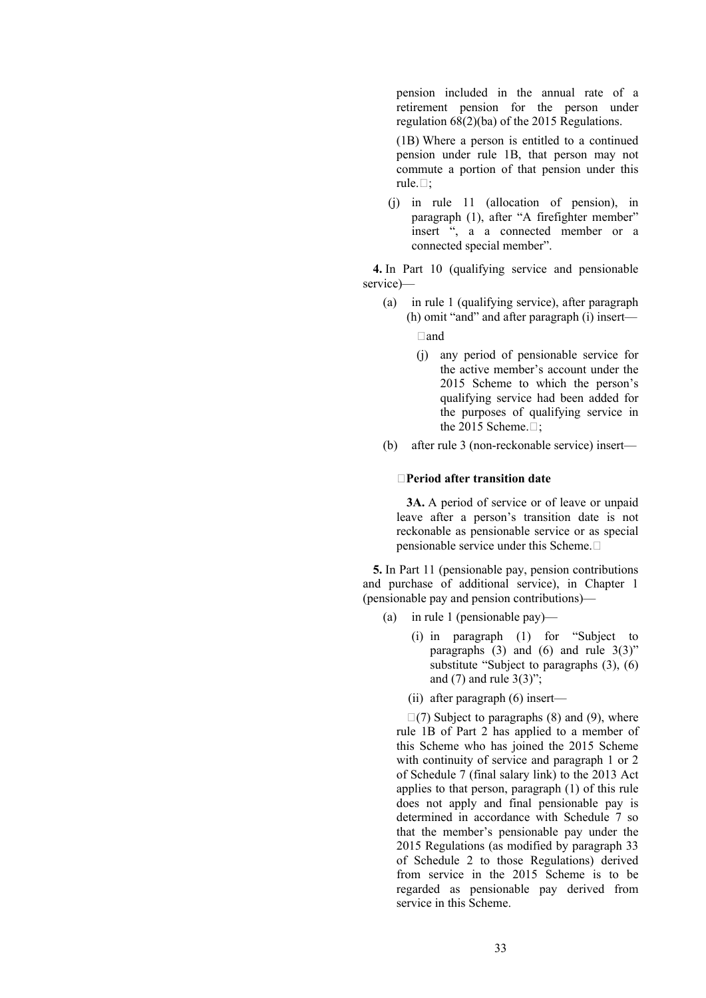pension included in the annual rate of a retirement pension for the person under regulation 68(2)(ba) of the 2015 Regulations.

(1B) Where a person is entitled to a continued pension under rule 1B, that person may not commute a portion of that pension under this rule. $\Box$ :

(j) in rule 11 (allocation of pension), in paragraph (1), after "A firefighter member" insert ", a a connected member or a connected special member".

**4.** In Part 10 (qualifying service and pensionable service)—

(a) in rule 1 (qualifying service), after paragraph (h) omit "and" and after paragraph (i) insert—

and

- (j) any period of pensionable service for the active member's account under the 2015 Scheme to which the person's qualifying service had been added for the purposes of qualifying service in the 2015 Scheme. $\Box$ ;
- (b) after rule 3 (non-reckonable service) insert—

#### **Period after transition date**

**3A.** A period of service or of leave or unpaid leave after a person's transition date is not reckonable as pensionable service or as special pensionable service under this Scheme.

**5.** In Part 11 (pensionable pay, pension contributions and purchase of additional service), in Chapter 1 (pensionable pay and pension contributions)—

- (a) in rule 1 (pensionable pay)—
	- (i) in paragraph (1) for "Subject to paragraphs  $(3)$  and  $(6)$  and rule  $3(3)$ " substitute "Subject to paragraphs (3), (6) and  $(7)$  and rule  $3(3)$ ";

(ii) after paragraph (6) insert—

 $\Box$ (7) Subject to paragraphs (8) and (9), where rule 1B of Part 2 has applied to a member of this Scheme who has joined the 2015 Scheme with continuity of service and paragraph 1 or 2 of Schedule 7 (final salary link) to the 2013 Act applies to that person, paragraph (1) of this rule does not apply and final pensionable pay is determined in accordance with Schedule 7 so that the member's pensionable pay under the 2015 Regulations (as modified by paragraph 33 of Schedule 2 to those Regulations) derived from service in the 2015 Scheme is to be regarded as pensionable pay derived from service in this Scheme.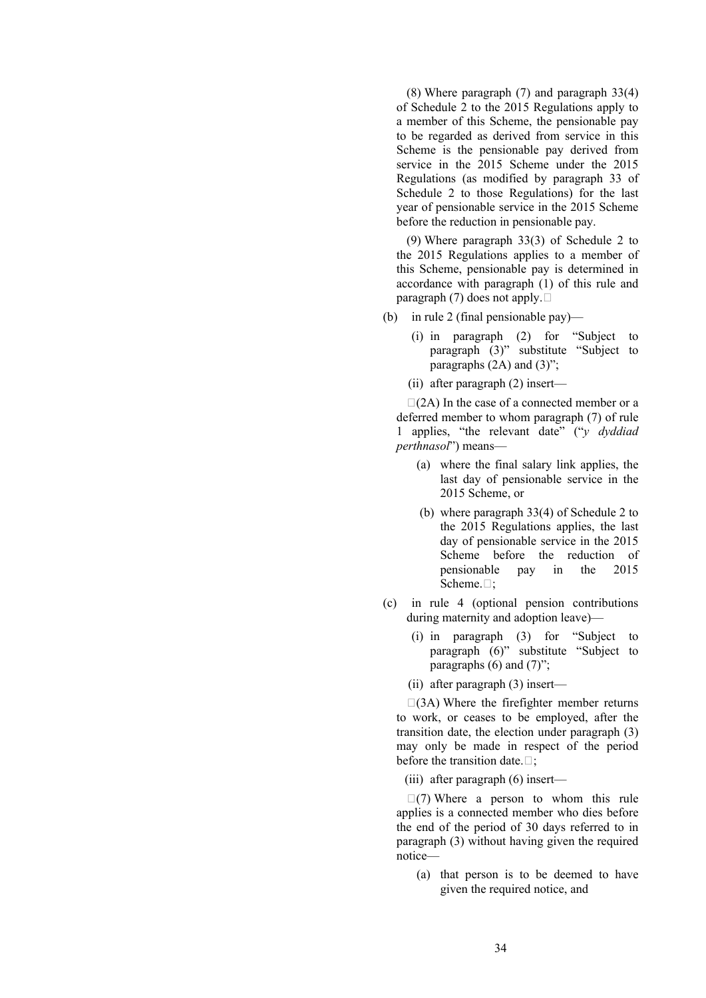(8) Where paragraph (7) and paragraph 33(4) of Schedule 2 to the 2015 Regulations apply to a member of this Scheme, the pensionable pay to be regarded as derived from service in this Scheme is the pensionable pay derived from service in the 2015 Scheme under the 2015 Regulations (as modified by paragraph 33 of Schedule 2 to those Regulations) for the last year of pensionable service in the 2015 Scheme before the reduction in pensionable pay.

(9) Where paragraph 33(3) of Schedule 2 to the 2015 Regulations applies to a member of this Scheme, pensionable pay is determined in accordance with paragraph (1) of this rule and paragraph (7) does not apply.  $\square$ 

- (b) in rule 2 (final pensionable pay)—
	- (i) in paragraph (2) for "Subject to paragraph (3)" substitute "Subject to paragraphs  $(2A)$  and  $(3)$ ";
	- (ii) after paragraph (2) insert—

 $\Box$ (2A) In the case of a connected member or a deferred member to whom paragraph (7) of rule 1 applies, "the relevant date" ("*y dyddiad perthnasol*") means—

- (a) where the final salary link applies, the last day of pensionable service in the 2015 Scheme, or
- (b) where paragraph 33(4) of Schedule 2 to the 2015 Regulations applies, the last day of pensionable service in the 2015 Scheme before the reduction of pensionable pay in the 2015 Scheme. $\Box$ :
- (c) in rule 4 (optional pension contributions during maternity and adoption leave)—
	- (i) in paragraph (3) for "Subject to paragraph (6)" substitute "Subject to paragraphs  $(6)$  and  $(7)$ ";
	- (ii) after paragraph (3) insert—

 $\Box$ (3A) Where the firefighter member returns to work, or ceases to be employed, after the transition date, the election under paragraph (3) may only be made in respect of the period before the transition date. $\Box$ ;

(iii) after paragraph (6) insert—

 $\Box$ (7) Where a person to whom this rule applies is a connected member who dies before the end of the period of 30 days referred to in paragraph (3) without having given the required notice—

(a) that person is to be deemed to have given the required notice, and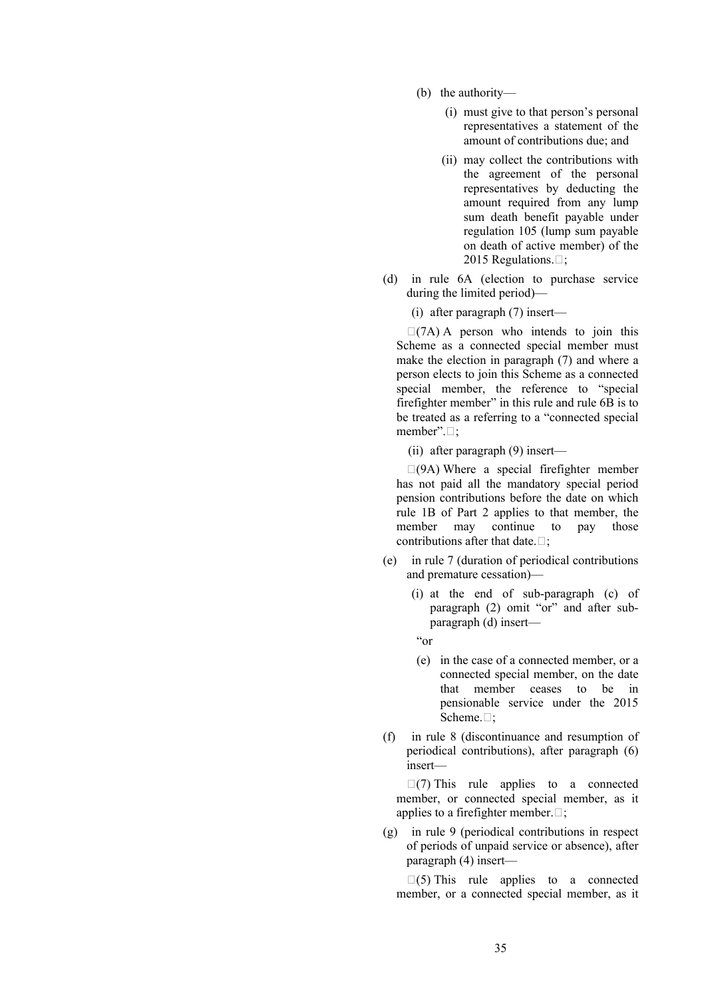- (b) the authority—
	- (i) must give to that person's personal representatives a statement of the amount of contributions due; and
	- (ii) may collect the contributions with the agreement of the personal representatives by deducting the amount required from any lump sum death benefit payable under regulation 105 (lump sum payable on death of active member) of the 2015 Regulations. $\Box$ ;
- (d) in rule 6A (election to purchase service during the limited period)—
	- (i) after paragraph (7) insert—

 $\Box$ (7A) A person who intends to join this Scheme as a connected special member must make the election in paragraph (7) and where a person elects to join this Scheme as a connected special member, the reference to "special firefighter member" in this rule and rule 6B is to be treated as a referring to a "connected special member". $\Box$ ;

(ii) after paragraph (9) insert—

 $\Box$ (9A) Where a special firefighter member has not paid all the mandatory special period pension contributions before the date on which rule 1B of Part 2 applies to that member, the member may continue to pay those contributions after that date  $\Box$ 

- (e) in rule 7 (duration of periodical contributions and premature cessation)—
	- (i) at the end of sub-paragraph (c) of paragraph (2) omit "or" and after subparagraph (d) insert—
	- "or
	- (e) in the case of a connected member, or a connected special member, on the date that member ceases to be in pensionable service under the 2015 Scheme. $\Box$ ;
- (f) in rule 8 (discontinuance and resumption of periodical contributions), after paragraph (6) insert—

 $\Box$ (7) This rule applies to a connected member, or connected special member, as it applies to a firefighter member. $\Box$ ;

(g) in rule 9 (periodical contributions in respect of periods of unpaid service or absence), after paragraph (4) insert—

 $\square$ (5) This rule applies to a connected member, or a connected special member, as it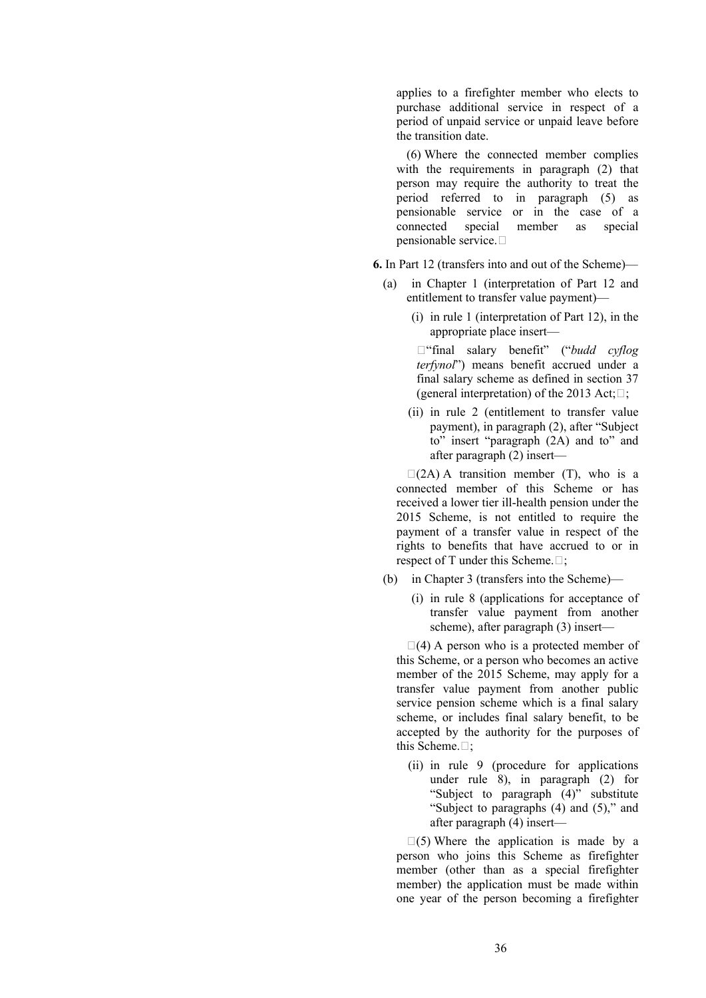applies to a firefighter member who elects to purchase additional service in respect of a period of unpaid service or unpaid leave before the transition date.

(6) Where the connected member complies with the requirements in paragraph (2) that person may require the authority to treat the period referred to in paragraph (5) as pensionable service or in the case of a connected special member as special pensionable service.

**6.** In Part 12 (transfers into and out of the Scheme)—

- (a) in Chapter 1 (interpretation of Part 12 and entitlement to transfer value payment)—
	- (i) in rule 1 (interpretation of Part 12), in the appropriate place insert—

"final salary benefit" ("*budd cyflog terfynol*") means benefit accrued under a final salary scheme as defined in section 37 (general interpretation) of the 2013 Act; $\Box$ ;

(ii) in rule 2 (entitlement to transfer value payment), in paragraph (2), after "Subject to" insert "paragraph (2A) and to" and after paragraph (2) insert—

 $\Box$ (2A) A transition member (T), who is a connected member of this Scheme or has received a lower tier ill-health pension under the 2015 Scheme, is not entitled to require the payment of a transfer value in respect of the rights to benefits that have accrued to or in respect of T under this Scheme. $\Box$ ;

- (b) in Chapter 3 (transfers into the Scheme)—
	- (i) in rule 8 (applications for acceptance of transfer value payment from another scheme), after paragraph (3) insert—

 $\Box(4)$  A person who is a protected member of this Scheme, or a person who becomes an active member of the 2015 Scheme, may apply for a transfer value payment from another public service pension scheme which is a final salary scheme, or includes final salary benefit, to be accepted by the authority for the purposes of this Scheme. $\Box$ ;

(ii) in rule 9 (procedure for applications under rule 8), in paragraph (2) for "Subject to paragraph (4)" substitute "Subject to paragraphs (4) and (5)," and after paragraph (4) insert—

 $\Box(5)$  Where the application is made by a person who joins this Scheme as firefighter member (other than as a special firefighter member) the application must be made within one year of the person becoming a firefighter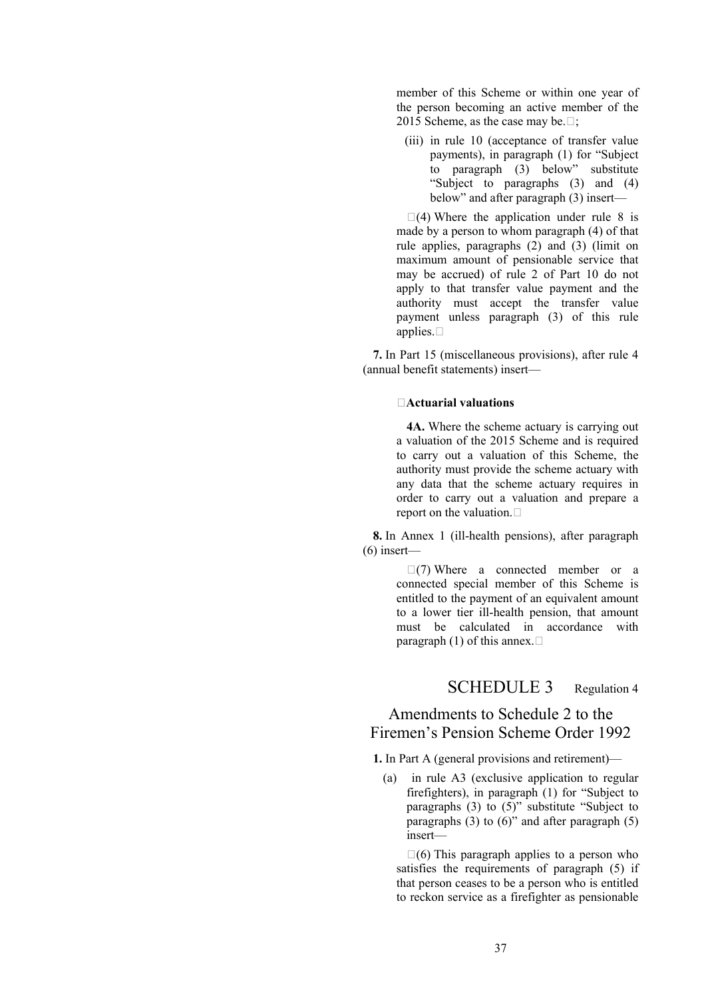member of this Scheme or within one year of the person becoming an active member of the 2015 Scheme, as the case may be. $\Box$ ;

(iii) in rule 10 (acceptance of transfer value payments), in paragraph (1) for "Subject to paragraph (3) below" substitute "Subject to paragraphs (3) and (4) below" and after paragraph (3) insert—

 $\Box(4)$  Where the application under rule 8 is made by a person to whom paragraph (4) of that rule applies, paragraphs (2) and (3) (limit on maximum amount of pensionable service that may be accrued) of rule 2 of Part 10 do not apply to that transfer value payment and the authority must accept the transfer value payment unless paragraph (3) of this rule applies.  $\square$ 

**7.** In Part 15 (miscellaneous provisions), after rule 4 (annual benefit statements) insert—

#### **Actuarial valuations**

**4A.** Where the scheme actuary is carrying out a valuation of the 2015 Scheme and is required to carry out a valuation of this Scheme, the authority must provide the scheme actuary with any data that the scheme actuary requires in order to carry out a valuation and prepare a report on the valuation.

**8.** In Annex 1 (ill-health pensions), after paragraph (6) insert—

> $\Box$ (7) Where a connected member or a connected special member of this Scheme is entitled to the payment of an equivalent amount to a lower tier ill-health pension, that amount must be calculated in accordance with paragraph (1) of this annex.  $\square$

# SCHEDULE 3 Regulation 4

# Amendments to Schedule 2 to the Firemen's Pension Scheme Order 1992

**1.** In Part A (general provisions and retirement)—

(a) in rule A3 (exclusive application to regular firefighters), in paragraph (1) for "Subject to paragraphs  $(3)$  to  $(5)$ " substitute "Subject to paragraphs  $(3)$  to  $(6)$ " and after paragraph  $(5)$ insert—

 $\Box(6)$  This paragraph applies to a person who satisfies the requirements of paragraph (5) if that person ceases to be a person who is entitled to reckon service as a firefighter as pensionable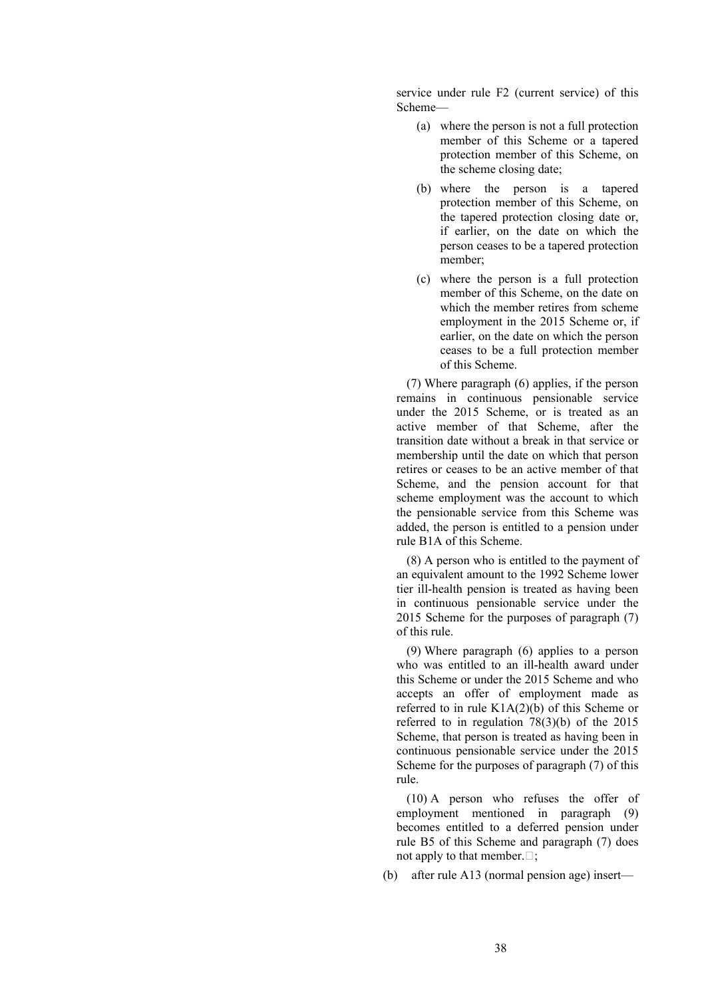service under rule F2 (current service) of this Scheme—

- (a) where the person is not a full protection member of this Scheme or a tapered protection member of this Scheme, on the scheme closing date;
- (b) where the person is a tapered protection member of this Scheme, on the tapered protection closing date or, if earlier, on the date on which the person ceases to be a tapered protection member;
- (c) where the person is a full protection member of this Scheme, on the date on which the member retires from scheme employment in the 2015 Scheme or, if earlier, on the date on which the person ceases to be a full protection member of this Scheme.

(7) Where paragraph (6) applies, if the person remains in continuous pensionable service under the 2015 Scheme, or is treated as an active member of that Scheme, after the transition date without a break in that service or membership until the date on which that person retires or ceases to be an active member of that Scheme, and the pension account for that scheme employment was the account to which the pensionable service from this Scheme was added, the person is entitled to a pension under rule B1A of this Scheme.

(8) A person who is entitled to the payment of an equivalent amount to the 1992 Scheme lower tier ill-health pension is treated as having been in continuous pensionable service under the 2015 Scheme for the purposes of paragraph (7) of this rule.

(9) Where paragraph (6) applies to a person who was entitled to an ill-health award under this Scheme or under the 2015 Scheme and who accepts an offer of employment made as referred to in rule K1A(2)(b) of this Scheme or referred to in regulation 78(3)(b) of the 2015 Scheme, that person is treated as having been in continuous pensionable service under the 2015 Scheme for the purposes of paragraph (7) of this rule.

(10) A person who refuses the offer of employment mentioned in paragraph (9) becomes entitled to a deferred pension under rule B5 of this Scheme and paragraph (7) does not apply to that member.  $\square$ ;

(b) after rule A13 (normal pension age) insert—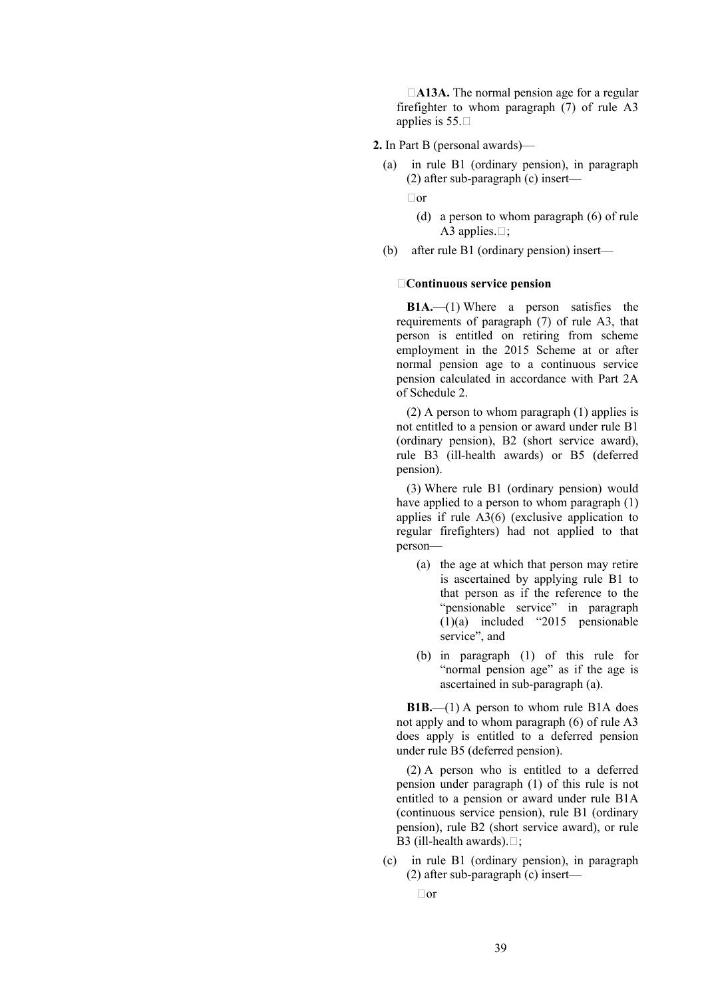□A13A. The normal pension age for a regular firefighter to whom paragraph (7) of rule A3 applies is  $55. \square$ 

- **2.** In Part B (personal awards)—
	- (a) in rule B1 (ordinary pension), in paragraph (2) after sub-paragraph (c) insert—

 $\Box$ or

- (d) a person to whom paragraph (6) of rule A3 applies. $\Box$ ;
- (b) after rule B1 (ordinary pension) insert—

#### **Continuous service pension**

**B1A.**—(1) Where a person satisfies the requirements of paragraph (7) of rule A3, that person is entitled on retiring from scheme employment in the 2015 Scheme at or after normal pension age to a continuous service pension calculated in accordance with Part 2A of Schedule 2.

(2) A person to whom paragraph (1) applies is not entitled to a pension or award under rule B1 (ordinary pension), B2 (short service award), rule B3 (ill-health awards) or B5 (deferred pension).

(3) Where rule B1 (ordinary pension) would have applied to a person to whom paragraph  $(1)$ applies if rule A3(6) (exclusive application to regular firefighters) had not applied to that person—

- (a) the age at which that person may retire is ascertained by applying rule B1 to that person as if the reference to the "pensionable service" in paragraph (1)(a) included "2015 pensionable service", and
- (b) in paragraph (1) of this rule for "normal pension age" as if the age is ascertained in sub-paragraph (a).

**B1B.**—(1) A person to whom rule B1A does not apply and to whom paragraph (6) of rule A3 does apply is entitled to a deferred pension under rule B5 (deferred pension).

(2) A person who is entitled to a deferred pension under paragraph (1) of this rule is not entitled to a pension or award under rule B1A (continuous service pension), rule B1 (ordinary pension), rule B2 (short service award), or rule B3 (ill-health awards).  $\Box$ ;

- (c) in rule B1 (ordinary pension), in paragraph (2) after sub-paragraph (c) insert—
	- $\Box$ or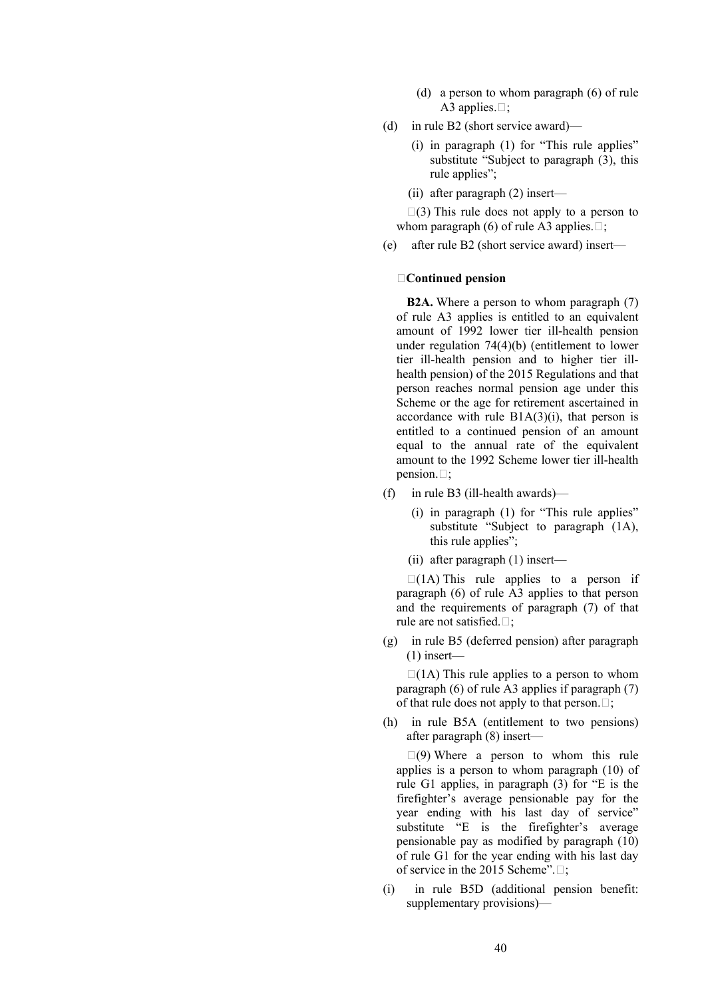- (d) a person to whom paragraph (6) of rule A3 applies. $\Box$ ;
- (d) in rule B2 (short service award)—
	- (i) in paragraph (1) for "This rule applies" substitute "Subject to paragraph  $(3)$ , this rule applies";
	- (ii) after paragraph (2) insert—

 $\Box$ (3) This rule does not apply to a person to whom paragraph (6) of rule A3 applies. $\Box$ ;

(e) after rule B2 (short service award) insert—

### **Continued pension**

**B2A.** Where a person to whom paragraph (7) of rule A3 applies is entitled to an equivalent amount of 1992 lower tier ill-health pension under regulation 74(4)(b) (entitlement to lower tier ill-health pension and to higher tier illhealth pension) of the 2015 Regulations and that person reaches normal pension age under this Scheme or the age for retirement ascertained in accordance with rule  $B1A(3)(i)$ , that person is entitled to a continued pension of an amount equal to the annual rate of the equivalent amount to the 1992 Scheme lower tier ill-health pension. $\Box$ ;

- (f) in rule B3 (ill-health awards)—
	- (i) in paragraph (1) for "This rule applies" substitute "Subject to paragraph (1A), this rule applies":
	- (ii) after paragraph (1) insert—

 $\Box$ (1A) This rule applies to a person if paragraph (6) of rule A3 applies to that person and the requirements of paragraph (7) of that rule are not satisfied. $\Box$ ;

(g) in rule B5 (deferred pension) after paragraph  $(1)$  insert—

 $\Box$ (1A) This rule applies to a person to whom paragraph (6) of rule A3 applies if paragraph (7) of that rule does not apply to that person.  $\Box$ ;

(h) in rule B5A (entitlement to two pensions) after paragraph (8) insert—

 $\Box(9)$  Where a person to whom this rule applies is a person to whom paragraph (10) of rule G1 applies, in paragraph (3) for "E is the firefighter's average pensionable pay for the year ending with his last day of service" substitute "E is the firefighter's average pensionable pay as modified by paragraph (10) of rule G1 for the year ending with his last day of service in the 2015 Scheme". $\Box$ :

(i) in rule B5D (additional pension benefit: supplementary provisions)—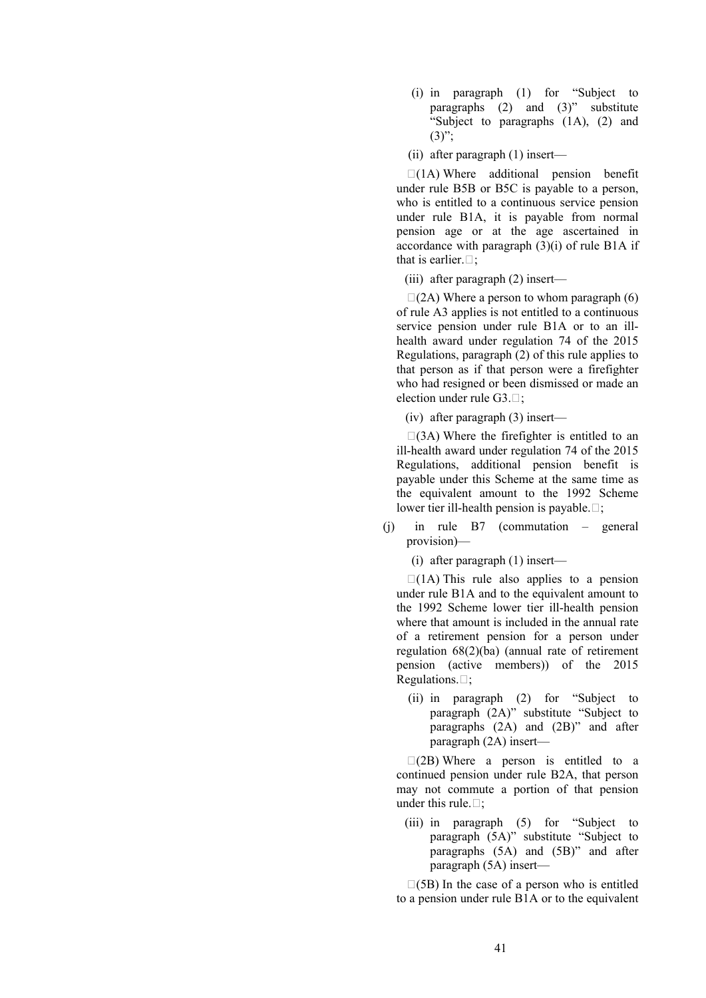- (i) in paragraph (1) for "Subject to paragraphs (2) and (3)" substitute "Subject to paragraphs (1A), (2) and  $(3)$ ":
- (ii) after paragraph (1) insert—

 $\Box(1\text{A})$  Where additional pension benefit under rule B5B or B5C is payable to a person, who is entitled to a continuous service pension under rule B1A, it is payable from normal pension age or at the age ascertained in accordance with paragraph (3)(i) of rule B1A if that is earlier.  $\Box$ ;

(iii) after paragraph (2) insert—

 $\Box$ (2A) Where a person to whom paragraph (6) of rule A3 applies is not entitled to a continuous service pension under rule B1A or to an illhealth award under regulation 74 of the 2015 Regulations, paragraph (2) of this rule applies to that person as if that person were a firefighter who had resigned or been dismissed or made an election under rule  $G3. \Box$ :

(iv) after paragraph (3) insert—

 $\Box$ (3A) Where the firefighter is entitled to an ill-health award under regulation 74 of the 2015 Regulations, additional pension benefit is payable under this Scheme at the same time as the equivalent amount to the 1992 Scheme lower tier ill-health pension is payable. $\Box$ ;

(j) in rule B7 (commutation – general provision)—

(i) after paragraph (1) insert—

 $\Box$ (1A) This rule also applies to a pension under rule B1A and to the equivalent amount to the 1992 Scheme lower tier ill-health pension where that amount is included in the annual rate of a retirement pension for a person under regulation 68(2)(ba) (annual rate of retirement pension (active members)) of the 2015 Regulations. $\Box$ ;

(ii) in paragraph (2) for "Subject to paragraph (2A)" substitute "Subject to paragraphs (2A) and (2B)" and after paragraph (2A) insert—

 $\Box$ (2B) Where a person is entitled to a continued pension under rule B2A, that person may not commute a portion of that pension under this rule. $\Box$ :

(iii) in paragraph (5) for "Subject to paragraph (5A)" substitute "Subject to paragraphs  $(5A)$  and  $(5B)$ " and after paragraph (5A) insert—

 $\square$ (5B) In the case of a person who is entitled to a pension under rule B1A or to the equivalent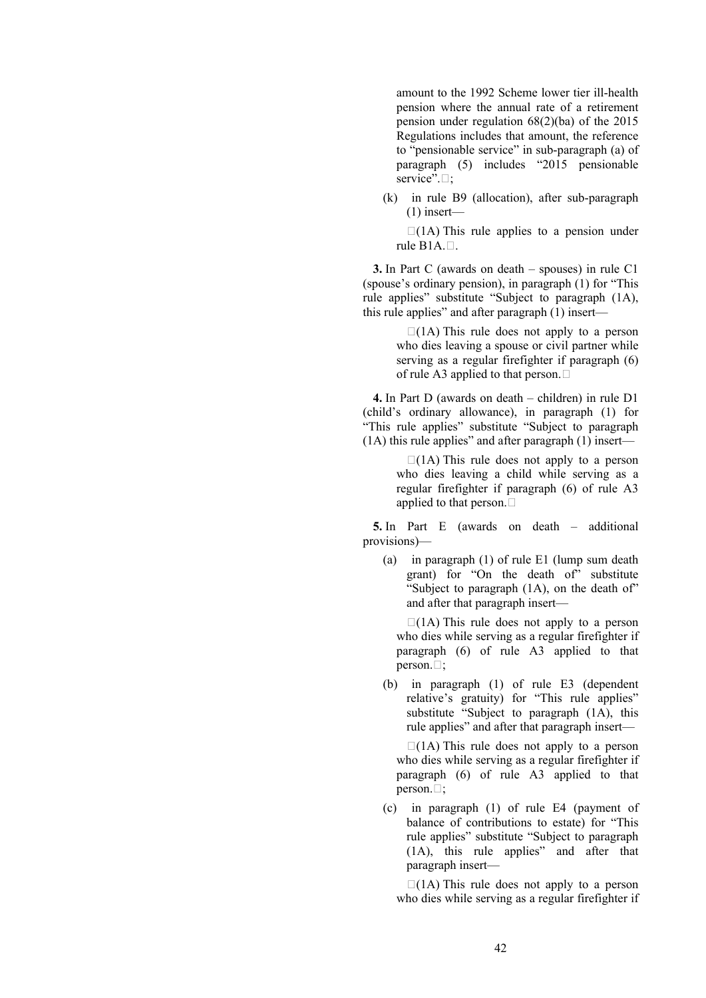amount to the 1992 Scheme lower tier ill-health pension where the annual rate of a retirement pension under regulation 68(2)(ba) of the 2015 Regulations includes that amount, the reference to "pensionable service" in sub-paragraph (a) of paragraph (5) includes "2015 pensionable service". $\Box$ ;

(k) in rule B9 (allocation), after sub-paragraph (1) insert—

 $\Box$ (1A) This rule applies to a pension under rule  $B1A. \Box$ .

**3.** In Part C (awards on death – spouses) in rule C1 (spouse's ordinary pension), in paragraph (1) for "This rule applies" substitute "Subject to paragraph (1A), this rule applies" and after paragraph (1) insert—

> $\Box$ (1A) This rule does not apply to a person who dies leaving a spouse or civil partner while serving as a regular firefighter if paragraph (6) of rule A3 applied to that person.  $\square$

**4.** In Part D (awards on death – children) in rule D1 (child's ordinary allowance), in paragraph (1) for "This rule applies" substitute "Subject to paragraph (1A) this rule applies" and after paragraph (1) insert—

> $\Box$ (1A) This rule does not apply to a person who dies leaving a child while serving as a regular firefighter if paragraph (6) of rule A3 applied to that person.

**5.** In Part E (awards on death – additional provisions)—

(a) in paragraph (1) of rule E1 (lump sum death grant) for "On the death of" substitute "Subject to paragraph (1A), on the death of" and after that paragraph insert—

 $\Box$ (1A) This rule does not apply to a person who dies while serving as a regular firefighter if paragraph (6) of rule A3 applied to that person. $\Box$ :

(b) in paragraph (1) of rule E3 (dependent relative's gratuity) for "This rule applies" substitute "Subject to paragraph  $(1A)$ , this rule applies" and after that paragraph insert—

 $\Box$ (1A) This rule does not apply to a person who dies while serving as a regular firefighter if paragraph (6) of rule A3 applied to that person. $\Box$ :

(c) in paragraph (1) of rule E4 (payment of balance of contributions to estate) for "This rule applies" substitute "Subject to paragraph (1A), this rule applies" and after that paragraph insert—

 $\Box$ (1A) This rule does not apply to a person who dies while serving as a regular firefighter if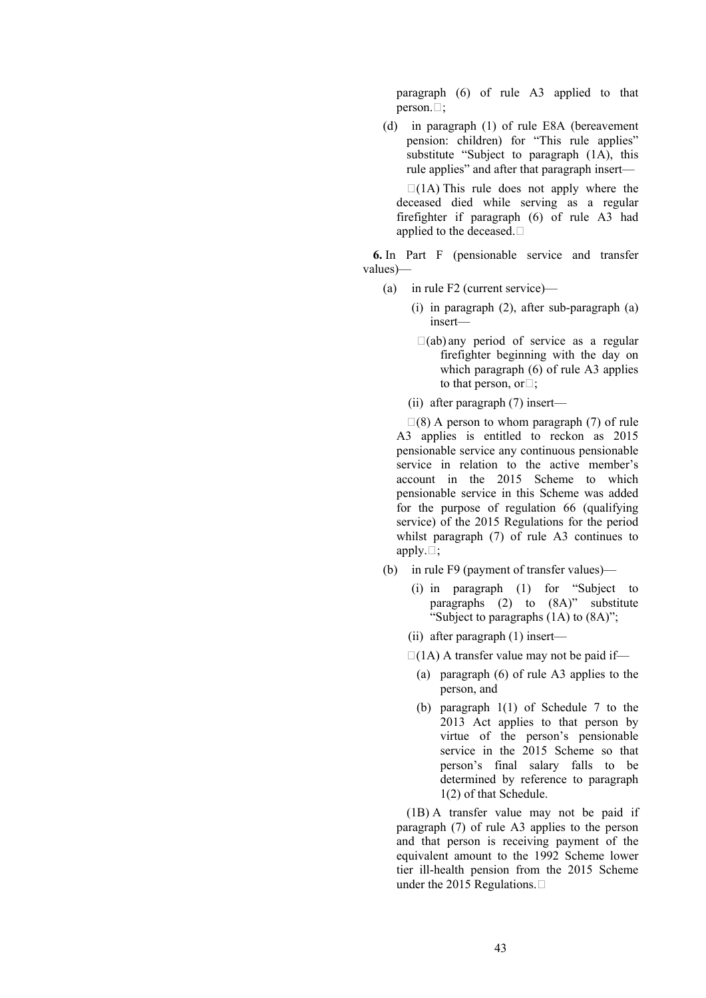paragraph (6) of rule A3 applied to that person. $\Box$ ;

(d) in paragraph (1) of rule E8A (bereavement pension: children) for "This rule applies" substitute "Subject to paragraph (1A), this rule applies" and after that paragraph insert—

 $\Box$ (1A) This rule does not apply where the deceased died while serving as a regular firefighter if paragraph (6) of rule A3 had applied to the deceased.

**6.** In Part F (pensionable service and transfer values)—

- (a) in rule F2 (current service)—
	- (i) in paragraph (2), after sub-paragraph (a) insert—
	- $\Box$ (ab) any period of service as a regular firefighter beginning with the day on which paragraph (6) of rule A3 applies to that person, or $\square$ :
	- (ii) after paragraph (7) insert—

 $\Box(8)$  A person to whom paragraph (7) of rule A3 applies is entitled to reckon as 2015 pensionable service any continuous pensionable service in relation to the active member's account in the 2015 Scheme to which pensionable service in this Scheme was added for the purpose of regulation 66 (qualifying service) of the 2015 Regulations for the period whilst paragraph (7) of rule A3 continues to apply. $\Box$ ;

- (b) in rule F9 (payment of transfer values)—
	- (i) in paragraph (1) for "Subject to paragraphs (2) to (8A)" substitute "Subject to paragraphs  $(1A)$  to  $(8A)$ ";
	- (ii) after paragraph (1) insert—
	- $\Box$ (1A) A transfer value may not be paid if—
		- (a) paragraph (6) of rule A3 applies to the person, and
		- (b) paragraph 1(1) of Schedule 7 to the 2013 Act applies to that person by virtue of the person's pensionable service in the 2015 Scheme so that person's final salary falls to be determined by reference to paragraph 1(2) of that Schedule.

(1B) A transfer value may not be paid if paragraph (7) of rule A3 applies to the person and that person is receiving payment of the equivalent amount to the 1992 Scheme lower tier ill-health pension from the 2015 Scheme under the 2015 Regulations.  $\square$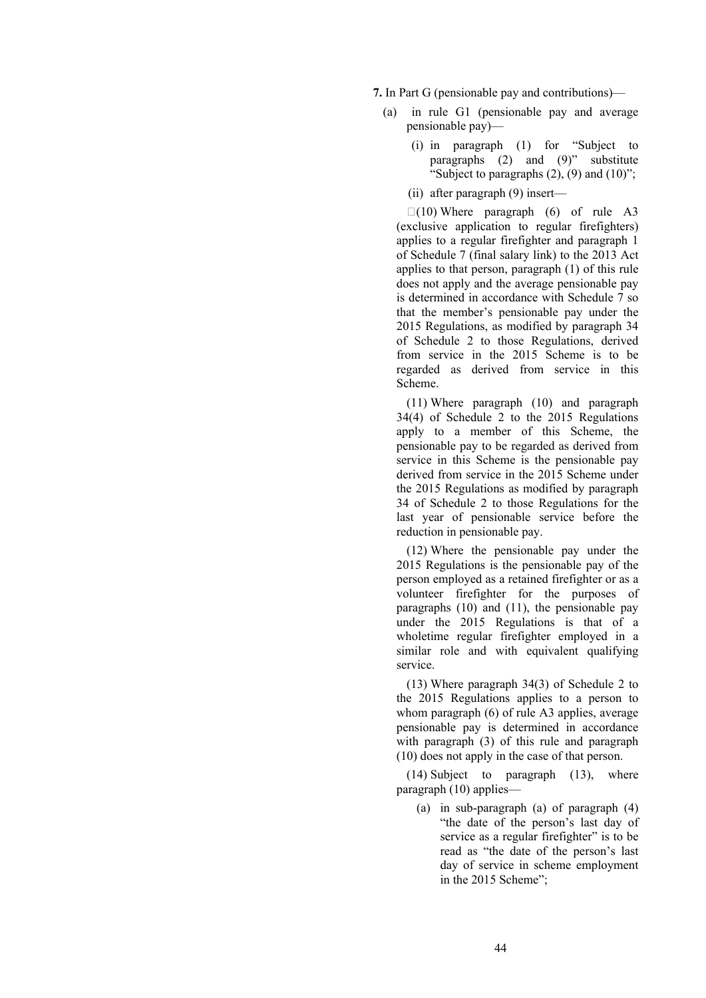**7.** In Part G (pensionable pay and contributions)—

- (a) in rule G1 (pensionable pay and average pensionable pay)—
	- (i) in paragraph (1) for "Subject to paragraphs  $(2)$  and  $(9)$ " substitute "Subject to paragraphs  $(2)$ ,  $(9)$  and  $(10)$ ";
	- (ii) after paragraph (9) insert—

 $\Box(10)$  Where paragraph (6) of rule A3 (exclusive application to regular firefighters) applies to a regular firefighter and paragraph 1 of Schedule 7 (final salary link) to the 2013 Act applies to that person, paragraph (1) of this rule does not apply and the average pensionable pay is determined in accordance with Schedule 7 so that the member's pensionable pay under the 2015 Regulations, as modified by paragraph 34 of Schedule 2 to those Regulations, derived from service in the 2015 Scheme is to be regarded as derived from service in this Scheme.

(11) Where paragraph (10) and paragraph 34(4) of Schedule 2 to the 2015 Regulations apply to a member of this Scheme, the pensionable pay to be regarded as derived from service in this Scheme is the pensionable pay derived from service in the 2015 Scheme under the 2015 Regulations as modified by paragraph 34 of Schedule 2 to those Regulations for the last year of pensionable service before the reduction in pensionable pay.

(12) Where the pensionable pay under the 2015 Regulations is the pensionable pay of the person employed as a retained firefighter or as a volunteer firefighter for the purposes of paragraphs (10) and (11), the pensionable pay under the 2015 Regulations is that of a wholetime regular firefighter employed in a similar role and with equivalent qualifying service.

(13) Where paragraph 34(3) of Schedule 2 to the 2015 Regulations applies to a person to whom paragraph (6) of rule A3 applies, average pensionable pay is determined in accordance with paragraph (3) of this rule and paragraph (10) does not apply in the case of that person.

(14) Subject to paragraph (13), where paragraph (10) applies—

(a) in sub-paragraph (a) of paragraph (4) "the date of the person's last day of service as a regular firefighter" is to be read as "the date of the person's last day of service in scheme employment in the 2015 Scheme";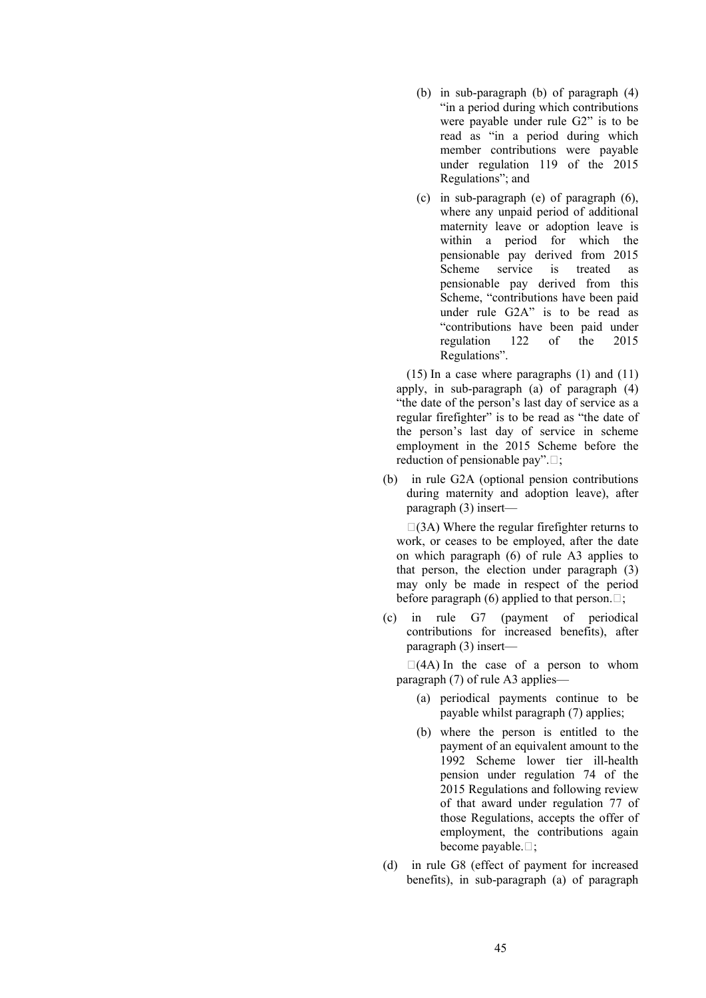- (b) in sub-paragraph (b) of paragraph (4) "in a period during which contributions were payable under rule G2" is to be read as "in a period during which member contributions were payable under regulation 119 of the 2015 Regulations"; and
- (c) in sub-paragraph (e) of paragraph (6), where any unpaid period of additional maternity leave or adoption leave is within a period for which the pensionable pay derived from 2015 Scheme service is treated as pensionable pay derived from this Scheme, "contributions have been paid under rule G2A" is to be read as "contributions have been paid under regulation 122 of the 2015 Regulations".

(15) In a case where paragraphs (1) and (11) apply, in sub-paragraph (a) of paragraph (4) "the date of the person's last day of service as a regular firefighter" is to be read as "the date of the person's last day of service in scheme employment in the 2015 Scheme before the reduction of pensionable pay".  $\Box$ ;

(b) in rule G2A (optional pension contributions during maternity and adoption leave), after paragraph (3) insert—

 $\Box$ (3A) Where the regular firefighter returns to work, or ceases to be employed, after the date on which paragraph (6) of rule A3 applies to that person, the election under paragraph (3) may only be made in respect of the period before paragraph (6) applied to that person.  $\Box$ ;

(c) in rule G7 (payment of periodical contributions for increased benefits), after paragraph (3) insert—

 $\Box$ (4A) In the case of a person to whom paragraph (7) of rule A3 applies—

- (a) periodical payments continue to be payable whilst paragraph (7) applies;
- (b) where the person is entitled to the payment of an equivalent amount to the 1992 Scheme lower tier ill-health pension under regulation 74 of the 2015 Regulations and following review of that award under regulation 77 of those Regulations, accepts the offer of employment, the contributions again become payable. $\Box$ ;
- (d) in rule G8 (effect of payment for increased benefits), in sub-paragraph (a) of paragraph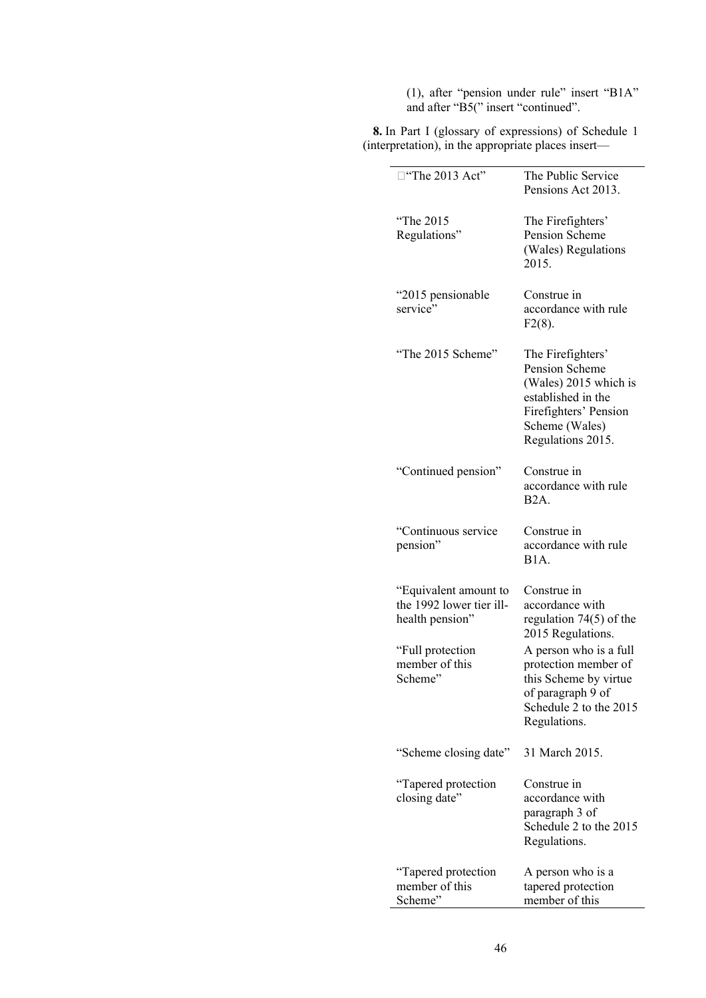(1), after "pension under rule" insert "B1A" and after "B5(" insert "continued".

**8.** In Part I (glossary of expressions) of Schedule 1 (interpretation), in the appropriate places insert—

| "The 2013 Act"                                                       | The Public Service<br>Pensions Act 2013.                                                                                                           |
|----------------------------------------------------------------------|----------------------------------------------------------------------------------------------------------------------------------------------------|
| "The 2015<br>Regulations"                                            | The Firefighters'<br>Pension Scheme<br>(Wales) Regulations<br>2015.                                                                                |
| "2015 pensionable<br>service"                                        | Construe in<br>accordance with rule<br>$F2(8)$ .                                                                                                   |
| "The 2015 Scheme"                                                    | The Firefighters'<br>Pension Scheme<br>(Wales) 2015 which is<br>established in the<br>Firefighters' Pension<br>Scheme (Wales)<br>Regulations 2015. |
| "Continued pension"                                                  | Construe in<br>accordance with rule<br>B <sub>2</sub> A.                                                                                           |
| "Continuous service<br>pension"                                      | Construe in<br>accordance with rule<br>B <sub>1</sub> A.                                                                                           |
| "Equivalent amount to<br>the 1992 lower tier ill-<br>health pension" | Construe in<br>accordance with<br>regulation $74(5)$ of the<br>2015 Regulations.                                                                   |
| "Full protection"<br>member of this<br>Scheme"                       | A person who is a full<br>protection member of<br>this Scheme by virtue<br>of paragraph 9 of<br>Schedule 2 to the 2015<br>Regulations.             |
| "Scheme closing date"                                                | 31 March 2015.                                                                                                                                     |
| Tapered protection<br>closing date"                                  | Construe in<br>accordance with<br>paragraph 3 of<br>Schedule 2 to the 2015<br>Regulations.                                                         |
| "Tapered protection<br>member of this<br>Scheme"                     | A person who is a<br>tapered protection<br>member of this                                                                                          |